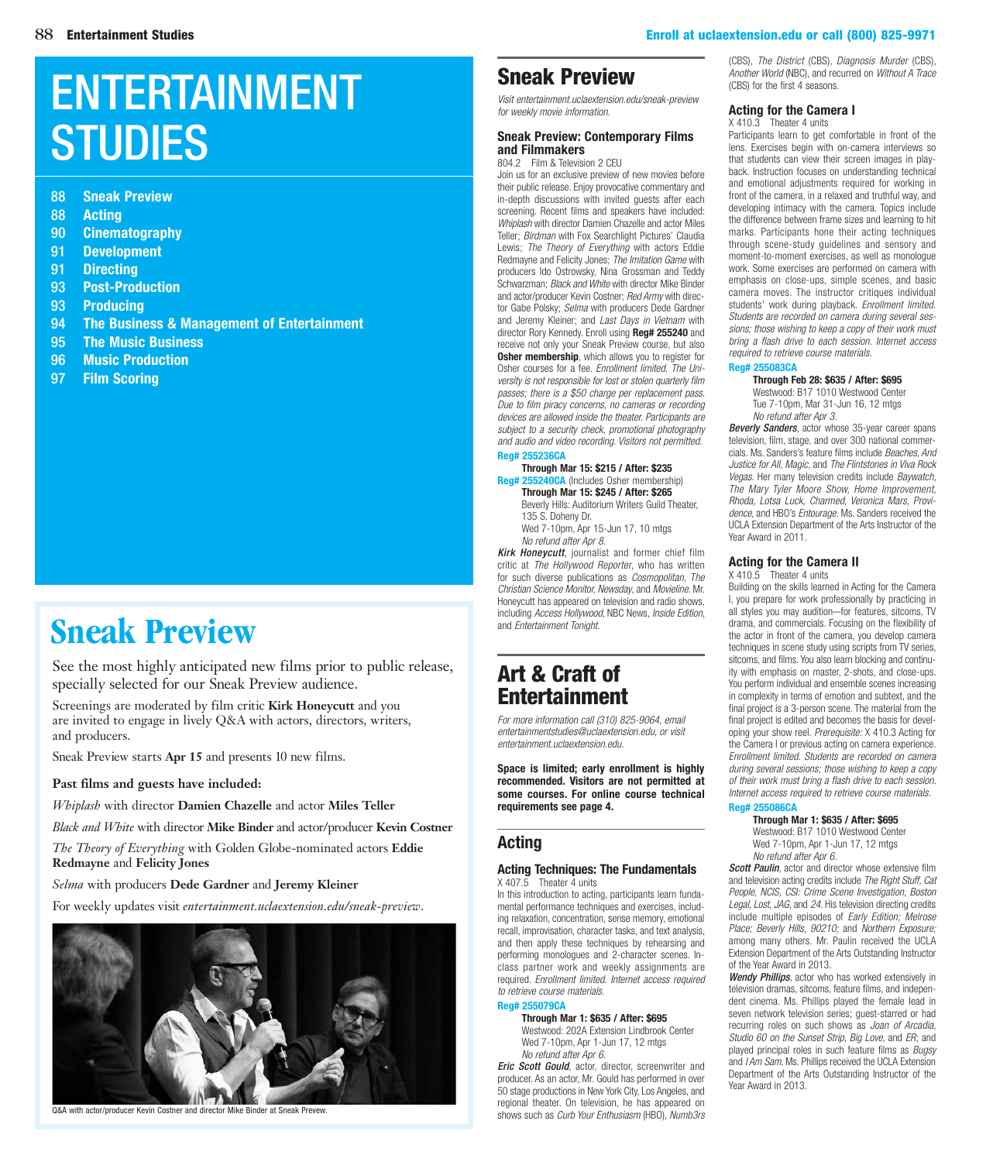**STUDIES** 

88 **Sneak Preview**

90 **[Cinematography](#page-2-0)** 91 **[Development](#page-3-0)** 91 **[Directing](#page-3-0)**

93 **[Post-Production](#page-5-0)** 93 **[Producing](#page-5-0)**

95 **[The Music Business](#page-7-0)** 96 **[Music Production](#page-8-0)** 97 **[Film Scoring](#page-9-0)**

88 **Acting**

[ENTERTAINMENT](entertainment.uclaextension.edu) 

94 **[The Business & Management of Entertainment](#page-6-0)**

#### 88 [Entertainment Studies](entertainment.uclaextension.edu) [Enroll at uclaextension.edu or call \(800\) 825-9971](www.uclaextension.edu)

## [Sneak Preview](www.uclaextension.edu/sneakpreview)

#### *Visit entertainment.uclaextension.edu/sneak-preview for weekly movie information.* **[Sneak Preview: Contemporary Films](https://www.uclaextension.edu/pages/Course.aspx?reg=255236)**

#### **and Filmmakers** 804.2 Film & Television 2 CEU

Join us for an exclusive preview of new movies before their public release. Enjoy provocative commentary and in-depth discussions with invited guests after each screening. Recent films and speakers have included: *Whiplash* with director Damien Chazelle and actor Miles Teller; *Birdman* with Fox Searchlight Pictures' Claudia Lewis; *The Theory of Everything* with actors Eddie Redmayne and Felicity Jones; *The Imitation Game* with producers Ido Ostrowsky, Nina Grossman and Teddy Schwarzman; *Black and White* with director Mike Binder and actor/producer Kevin Costner; *Red Army* with director Gabe Polsky; *Selma* with producers Dede Gardner and Jeremy Kleiner; and *Last Days in Vietnam* with director Rory Kennedy. Enroll using **Reg# 255240** and receive not only your Sneak Preview course, but also **Osher membership**, which allows you to register for Osher courses for a fee. *Enrollment limited. The University is not responsible for lost or stolen quarterly film passes; there is a \$50 charge per replacement pass. Due to film piracy concerns, no cameras or recording devices are allowed inside the theater. Participants are subject to a security check, promotional photography and audio and video recording. Visitors not permitted.*

#### **Reg# 255236CA**

**Through Mar 15: \$215 / After: \$235 Reg# 255240CA** (Includes Osher membership) **Through Mar 15: \$245 / After: \$265** Beverly Hills: Auditorium Writers Guild Theater, 135 S. Doheny Dr.

*Kirk Honeycutt*, journalist and former chief film critic at *The Hollywood Reporter*, who has written for such diverse publications as *Cosmopolitan, The Christian Science Monitor, Newsday*, and *Movieline*. Mr. Honeycutt has appeared on television and radio shows, including *Access Hollywood*, NBC News, *Inside Edition*, and *Entertainment Tonight*.

## Art & Craft of Entertainment

*[For more information call \(310\) 825-9064, email](mailto:entertainmentstudies@uclaextension.edu)  entertainmentstudies@uclaextension.edu, or visit [entertainment.uclaextension.edu.](entertainment.uclaextension.edu)*

**Space is limited; early enrollment is highly recommended. Visitors are not permitted at some courses. For online course technical requirements see page 4.**

## **Acting**

#### **[Acting Techniques: The Fundamentals](https://www.uclaextension.edu/pages/Course.aspx?reg=255079)**  $X$  407.5 Theater 4 units

In this introduction to acting, participants learn fundamental performance techniques and exercises, including relaxation, concentration, sense memory, emotional recall, improvisation, character tasks, and text analysis, and then apply these techniques by rehearsing and performing monologues and 2-character scenes. Inclass partner work and weekly assignments are required. *Enrollment limited. Internet access required to retrieve course materials.*

#### **Reg# 255079CA**

**Through Mar 1: \$635 / After: \$695** Westwood: 202A Extension Lindbrook Center Wed 7-10pm, Apr 1-Jun 17, 12 mtgs

*No refund after Apr 6. Fric Scott Gould* actor, director, screenwriter and producer. As an actor, Mr. Gould has performed in over 50 stage productions in New York City, Los Angeles, and regional theater. On television, he has appeared on shows such as *Curb Your Enthusiasm* (HBO), *Numb3rs* (CBS), *The District* (CBS), *Diagnosis Murder* (CBS), *Another World* (NBC), and recurred on *Without A Trace* [\(CBS\) for the first 4 seasons.](https://www.uclaextension.edu/pages/Course.aspx?reg=255079)

#### **Acting for the Camera I**

#### X 410.3 Theater 4 units

Participants learn to get comfortable in front of the lens. Exercises begin with on-camera interviews so that students can view their screen images in playback. Instruction focuses on understanding technical and emotional adjustments required for working in front of the camera, in a relaxed and truthful way, and developing intimacy with the camera. Topics include the difference between frame sizes and learning to hit marks. Participants hone their acting techniques through scene-study guidelines and sensory and moment-to-moment exercises, as well as monologue work. Some exercises are performed on camera with [emphasis on close-ups, simple scenes, and basic](https://www.uclaextension.edu/pages/Course.aspx?reg=255083)  camera moves. The instructor critiques individual students' work during playback. *Enrollment limited. Students are recorded on camera during several sessions; those wishing to keep a copy of their work must bring a flash drive to each session. Internet access required to retrieve course materials.*

## **Reg# 255083CA**

**Through Feb 28: \$635 / After: \$695** Westwood: B17 1010 Westwood Center Tue 7-10pm, Mar 31-Jun 16, 12 mtgs *No refund after Apr 3.*

*Beverly Sanders*, actor whose 35-year career spans television, film, stage, and over 300 national commercials. Ms. Sanders's feature films include *Beaches, And Justice for All, Magic*, and *The Flintstones in Viva Rock Vegas*. Her many television credits include *Baywatch, The Mary Tyler Moore Show, Home Improvement, Rhoda, Lotsa Luck, Charmed, Veronica Mars, Providence*, and HBO's *Entourage*. Ms. Sanders received the UCLA Extension Department of the Arts Instructor of the Year Award in 2011.

#### **Acting for the Camera II**

X 410.5 Theater 4 units

Building on the skills learned in Acting for the Camera I, you prepare for work professionally by practicing in all styles you may audition—for features, sitcoms, TV drama, and commercials. Focusing on the flexibility of the actor in front of the camera, you develop camera techniques in scene study using scripts from TV series, sitcoms, and films. You also learn blocking and continuity with emphasis on master, 2-shots, and close-ups. You perform individual and ensemble scenes increasing in complexity in terms of emotion and subtext, and the [final project is a 3-person scene. The material from the](https://www.uclaextension.edu/pages/Course.aspx?reg=255086)  final project is edited and becomes the basis for developing your show reel. *Prerequisite:* X 410.3 Acting for the Camera I or previous acting on camera experience. *Enrollment limited. Students are recorded on camera during several sessions; those wishing to keep a copy of their work must bring a flash drive to each session. Internet access required to retrieve course materials.* **Reg# 255086CA**

#### **Through Mar 1: \$635 / After: \$695**

Westwood: B17 1010 Westwood Center Wed 7-10pm, Apr 1-Jun 17, 12 mtgs *No refund after Apr 6.*

*Scott Paulin*, actor and director whose extensive film and television acting credits include *The Right Stuff, Cat People, NCIS, CSI: Crime Scene Investigation, Boston Legal, Lost, JAG,* and *24*. His television directing credits include multiple episodes of *Early Edition; Melrose Place; Beverly Hills, 90210;* and *Northern Exposure;* among many others. Mr. Paulin received the UCLA Extension Department of the Arts Outstanding Instructor of the Year Award in 2013.

*Wendy Phillips*, actor who has worked extensively in television dramas, sitcoms, feature films, and independent cinema. Ms. Phillips played the female lead in seven network television series; guest-starred or had recurring roles on such shows as *Joan of Arcadia, Studio 60 on the Sunset Strip, Big Love,* and *ER*; and played principal roles in such feature films as *Bugsy* and *I Am Sam*. Ms. Phillips received the UCLA Extension Department of the Arts Outstanding Instructor of the Year Award in 2013.

# **[Sneak Preview](www.uclaextension.edu/sneakpreview)**

See the most highly anticipated new films prior to public release, specially selected for our Sneak Preview audience.

Screenings are moderated by film critic **Kirk Honeycutt** and you are invited to engage in lively Q&A with actors, directors, writers, and producers.

Sneak Preview starts **Apr 15** and presents 10 new films.

#### **Past films and guests have included:**

*Whiplash* with director **Damien Chazelle** and actor **Miles Teller**

*Black and White* with director **Mike Binder** and actor/producer **Kevin Costner**

*The Theory of Everything* with Golden Globe-nominated actors **Eddie Redmayne** and **Felicity Jones**

*Selma* with producers **Dede Gardner** and **Jeremy Kleiner**

For weekly updates visit *entertainment.uclaextension.edu/sneak-preview*.



Q&A with actor/producer Kevin Costner and director Mike Binder at Sneak Prevew.

Wed 7-10pm, Apr 15-Jun 17, 10 mtgs *No refund after Apr 8.*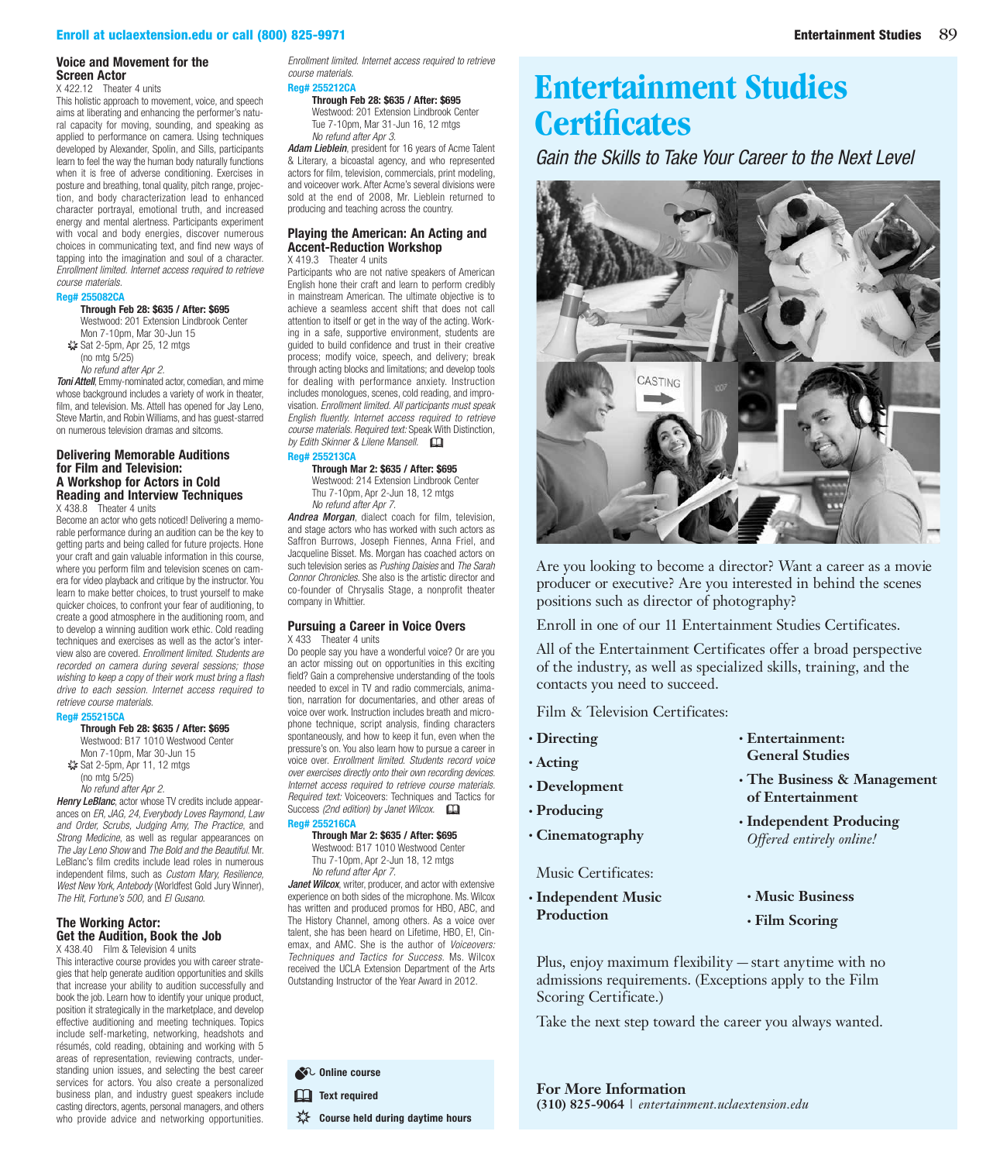#### **Voice and Movement for the Screen Actor**

X 422.12 Theater 4 units

This holistic approach to movement, voice, and speech aims at liberating and enhancing the performer's natural capacity for moving, sounding, and speaking as applied to performance on camera. Using techniques developed by Alexander, Spolin, and Sills, participants learn to feel the way the human body naturally functions when it is free of adverse conditioning. Exercises in posture and breathing, tonal quality, pitch range, projection, and body characterization lead to enhanced character portrayal, emotional truth, and increased energy and mental alertness. Participants experiment with vocal and body energies, discover numerous choices in communicating text, and find new ways of tapping into the imagination and soul of a character. *Enrollment limited. Internet access required to retrieve course materials.*

#### **Reg# 255082CA**

**Through Feb 28: \$635 / After: \$695** Westwood: 201 Extension Lindbrook Center Mon 7-10pm, Mar 30-Jun 15

- ✷ Sat 2-5pm, Apr 25, 12 mtgs (no mtg 5/25)
- *No refund after Apr 2.*

*Toni Attell*, Emmy-nominated actor, comedian, and mime whose background includes a variety of work in theater, film, and television. Ms. Attell has opened for Jay Leno, [Steve Martin, and Robin Williams, and has guest-starred](https://www.uclaextension.edu/pages/Course.aspx?reg=255082)  on numerous television dramas and sitcoms.

#### **Delivering Memorable Auditions for Film and Television: A Workshop for Actors in Cold [Reading and Interview Techniques](https://www.uclaextension.edu/pages/Course.aspx?reg=255215)**

X 438.8 Theater 4 units

Become an actor who gets noticed! Delivering a memorable performance during an audition can be the key to getting parts and being called for future projects. Hone your craft and gain valuable information in this course, where you perform film and television scenes on camera for video playback and critique by the instructor. You learn to make better choices, to trust yourself to make quicker choices, to confront your fear of auditioning, to create a good atmosphere in the auditioning room, and to develop a winning audition work ethic. Cold reading techniques and exercises as well as the actor's interview also are covered. *Enrollment limited. Students are recorded on camera during several sessions; those wishing to keep a copy of their work must bring a flash drive to each session. Internet access required to retrieve course materials.*

#### **Reg# 255215CA**

**Through Feb 28: \$635 / After: \$695**

Westwood: B17 1010 Westwood Center Mon 7-10pm, Mar 30-Jun 15 ✷ Sat 2-5pm, Apr 11, 12 mtgs (no mtg 5/25) *No refund after Apr 2.*

*Henry LeBlanc*, actor whose TV credits include appearances on *ER, JAG, 24, Everybody Loves Raymond, Law and Order, Scrubs, Judging Amy, The Practice*, and *Strong Medicine*, as well as regular appearances on *The Jay Leno Show* and *The Bold and the Beautiful*. Mr. LeBlanc's film credits include lead roles in numerous independent films, such as *Custom Mary, Resilience, West New York, Antebody* (Worldfest Gold Jury Winner), *The Hit, Fortune's 500,* and *El Gusano*.

#### **The Working Actor: Get the Audition, Book the Job**

X 438.40 Film & Television 4 units This interactive course provides you with career strategies that help generate audition opportunities and skills that increase your ability to audition successfully and book the job. Learn how to identify your unique product, [position it strategically in the marketplace, and develop](https://www.uclaextension.edu/pages/Course.aspx?reg=255212)  effective auditioning and meeting techniques. Topics include self-marketing, networking, headshots and résumés, cold reading, obtaining and working with 5 areas of representation, reviewing contracts, understanding union issues, and selecting the best career services for actors. You also create a personalized business plan, and industry guest speakers include casting directors, agents, personal managers, and others who provide advice and networking opportunities.

*Enrollment limited. Internet access required to retrieve course materials.* **Reg# 255212CA**

#### **Through Feb 28: \$635 / After: \$695**

Westwood: 201 Extension Lindbrook Center Tue 7-10pm, Mar 31-Jun 16, 12 mtgs *No refund after Apr 3.*

*Adam Lieblein*, president for 16 years of Acme Talent & Literary, a bicoastal agency, and who represented [actors for film, television, commercials, print modeling,](https://www.uclaextension.edu/pages/Course.aspx?reg=255212)  and voiceover work. After Acme's several divisions were sold at the end of 2008, Mr. Lieblein returned to producing and teaching across the country.

#### **[Playing the American: An Acting and](https://www.uclaextension.edu/pages/Course.aspx?reg=255213)  Accent-Reduction Workshop**

X 419.3 Theater 4 units

Participants who are not native speakers of American English hone their craft and learn to perform credibly in mainstream American. The ultimate objective is to achieve a seamless accent shift that does not call attention to itself or get in the way of the acting. Working in a safe, supportive environment, students are guided to build confidence and trust in their creative process; modify voice, speech, and delivery; break through acting blocks and limitations; and develop tools for dealing with performance anxiety. Instruction includes monologues, scenes, cold reading, and improvisation. *Enrollment limited. All participants must speak English fluently. Internet access required to retrieve course materials. Required text:* Speak With Distinction*, by Edith Skinner & Lilene Mansell.* 

#### **Reg# 255213CA Through Mar 2: \$635 / After: \$695**

Westwood: 214 Extension Lindbrook Center Thu 7-10pm, Apr 2-Jun 18, 12 mtgs *No refund after Apr 7.*

*Andrea Morgan*, dialect coach for film, television, and stage actors who has worked with such actors as Saffron Burrows, Joseph Fiennes, Anna Friel, and Jacqueline Bisset. Ms. Morgan has coached actors on such television series as *Pushing Daisies* and *The Sarah Connor Chronicles*. She also is the artistic director and co-founder of Chrysalis Stage, a nonprofit theater company in Whittier.

#### **[Pursuing a Career in Voice Overs](https://www.uclaextension.edu/pages/Course.aspx?reg=255216)** X 433 Theater 4 units

Do people say you have a wonderful voice? Or are you an actor missing out on opportunities in this exciting field? Gain a comprehensive understanding of the tools needed to excel in TV and radio commercials, animation, narration for documentaries, and other areas of voice over work. Instruction includes breath and microphone technique, script analysis, finding characters spontaneously, and how to keep it fun, even when the pressure's on. You also learn how to pursue a career in voice over. *Enrollment limited. Students record voice over exercises directly onto their own recording devices. Internet access required to retrieve course materials. Required text:* Voiceovers: Techniques and Tactics for Success (2nd edition) by Janet Wilcox.

### **Reg# 255216CA**

**Through Mar 2: \$635 / After: \$695** Westwood: B17 1010 Westwood Center Thu 7-10pm, Apr 2-Jun 18, 12 mtgs *No refund after Apr 7.*

Janet Wilcox, writer, producer, and actor with extensive experience on both sides of the microphone. Ms. Wilcox has written and produced promos for HBO, ABC, and The History Channel, among others. As a voice over talent, she has been heard on Lifetime, HBO, E!, Cinemax, and AMC. She is the author of *Voiceovers: Techniques and Tactics for Success*. Ms. Wilcox received the UCLA Extension Department of the Arts Outstanding Instructor of the Year Award in 2012.

**SEC** Online course **Ext required W** Course held during daytime hours

## **[Entertainment Studies](http://entertainment.uclaextension.edu/certificates/)  Certificates**

*Gain the Skills to Take Your Career to the Next Level*



Are you looking to become a director? Want a career as a movie producer or executive? Are you interested in behind the scenes positions such as director of photography?

Enroll in one of our 11 Entertainment Studies Certificates.

All of the Entertainment Certificates offer a broad perspective of the industry, as well as specialized skills, training, and the contacts you need to succeed.

Film & Television Certificates:

- **• [Directing](http://entertainment.uclaextension.edu/certificates/directing/)**
- **• [Acting](http://entertainment.uclaextension.edu/certificates/acting/)**
- **• [Development](http://entertainment.uclaextension.edu/certificates/development/)**
- **• [Producing](http://entertainment.uclaextension.edu/certificates/producing/)**
- **• [Cinematography](http://entertainment.uclaextension.edu/certificates/cinematography/)**

#### Music Certificates:

**• [Independent Music](http://entertainment.uclaextension.edu/certificates/independent-music-production/)  Production**

- **• [Entertainment:](http://entertainment.uclaextension.edu/certificates/entertainment-studies/)  General Studies**
- **• [The Business & Management](http://entertainment.uclaextension.edu/certificates/business-and-management-of-entertainment/)  of Entertainment**
- **• [Independent Producing](http://entertainment.uclaextension.edu/certificates/independent-producing/)**  *Offered entirely online!*
- **• [Music Business](http://entertainment.uclaextension.edu/certificates/music-business/)**
- **• [Film Scoring](http://entertainment.uclaextension.edu/certificates/film-scoring/)**

[Plus, enjoy maximum flexibility — start anytime with no](entertainment.uclaextension.edu)  admissions requirements. (Exceptions apply to the Film Scoring Certificate.)

Take the next step toward the career you always wanted.

**For More Information (310) 825-9064** | *<entertainment.uclaextension.edu>*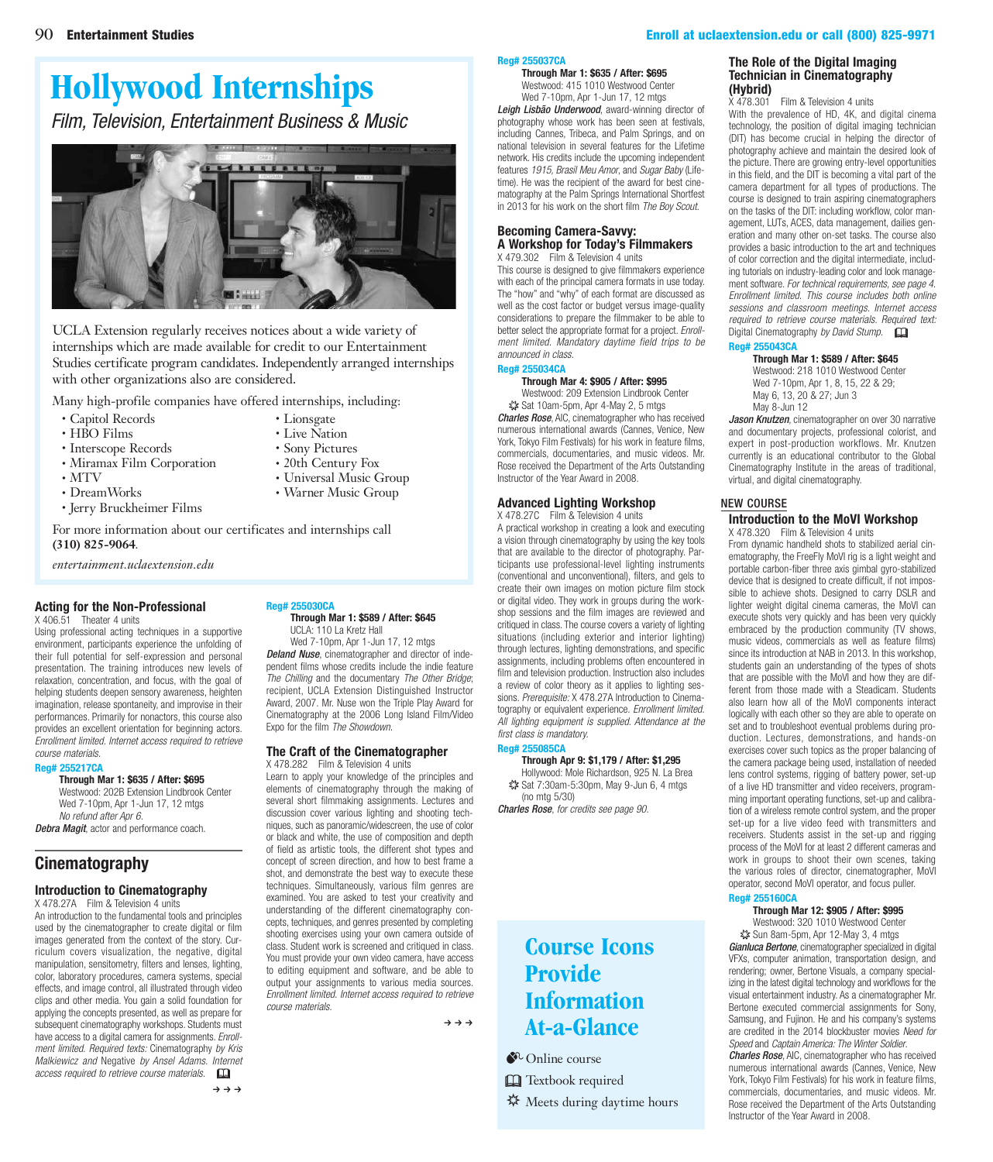#### <span id="page-2-0"></span>90 [Entertainment Studies](entertainment.uclaextension.edu) [Enroll at uclaextension.edu or call \(800\) 825-9971](www.uclaextension.edu)

## **[Hollywood Internships](http://entertainment.uclaextension.edu/student-information/internships/)**

*Film, Television, Entertainment Business & Music*



UCLA Extension regularly receives notices about a wide variety of internships which are made available for credit to our Entertainment Studies certificate program candidates. Independently arranged internships with other organizations also are considered.

Many high-profile companies have offered internships, including:

- Capitol Records
- HBO Films
- Lionsgate • Live Nation
- Sony Pictures

• 20th Century Fox • Universal Music Group • Warner Music Group

- Interscope Records • Miramax Film Corporation
- MTV
- DreamWorks
- Jerry Bruckheimer Films
- 

[For more information about our certificates and internships call](entertainment.uclaextension.edu)  **(310) 825-9064***.*

*entertainment.uclaextension.edu*

#### **[Acting for the Non-Professional](https://www.uclaextension.edu/pages/Course.aspx?reg=255217)**

X 406.51 Theater 4 units

Using professional acting techniques in a supportive environment, participants experience the unfolding of their full potential for self-expression and personal presentation. The training introduces new levels of relaxation, concentration, and focus, with the goal of helping students deepen sensory awareness, heighten imagination, release spontaneity, and improvise in their performances. Primarily for nonactors, this course also provides an excellent orientation for beginning actors. *Enrollment limited. Internet access required to retrieve course materials.*

#### **Reg# 255217CA**

**Through Mar 1: \$635 / After: \$695**

Westwood: 202B Extension Lindbrook Center Wed 7-10pm, Apr 1-Jun 17, 12 mtgs *No refund after Apr 6.*

*Debra Magit*, actor and performance coach.

#### **Cinematography**

#### **[Introduction to Cinematography](https://www.uclaextension.edu/pages/Course.aspx?reg=255030)**

X 478.27A Film & Television 4 units An introduction to the fundamental tools and principles used by the cinematographer to create digital or film images generated from the context of the story. Curriculum covers visualization, the negative, digital manipulation, sensitometry, filters and lenses, lighting, color, laboratory procedures, camera systems, special effects, and image control, all illustrated through video clips and other media. You gain a solid foundation for applying the concepts presented, as well as prepare for subsequent cinematography workshops. Students must have access to a digital camera for assignments. *Enrollment limited. Required texts:* Cinematography *by Kris Malkiewicz and* Negative *by Ansel Adams. Internet access required to retrieve course materials.* &  $\rightarrow$   $\rightarrow$   $\rightarrow$ 

## **Reg# 255030CA**

#### **Through Mar 1: \$589 / After: \$645** UCLA: 110 La Kretz Hall

Wed 7-10pm, Apr 1-Jun 17, 12 mtgs *Deland Nuse*, cinematographer and director of inde[pendent films whose credits include the indie feature](https://www.uclaextension.edu/pages/Course.aspx?reg=255030)  *The Chilling* and the documentary *The Other Bridge*; recipient, UCLA Extension Distinguished Instructor Award, 2007. Mr. Nuse won the Triple Play Award for Cinematography at the 2006 Long Island Film/Video Expo for the film *The Showdown*.

#### **[The Craft of the Cinematographer](https://www.uclaextension.edu/pages/Course.aspx?reg=255037)** X 478.282 Film & Television 4 units

Learn to apply your knowledge of the principles and elements of cinematography through the making of several short filmmaking assignments. Lectures and discussion cover various lighting and shooting techniques, such as panoramic/widescreen, the use of color or black and white, the use of composition and depth of field as artistic tools, the different shot types and concept of screen direction, and how to best frame a shot, and demonstrate the best way to execute these techniques. Simultaneously, various film genres are examined. You are asked to test your creativity and understanding of the different cinematography concepts, techniques, and genres presented by completing shooting exercises using your own camera outside of class. Student work is screened and critiqued in class. You must provide your own video camera, have access to editing equipment and software, and be able to output your assignments to various media sources. *Enrollment limited. Internet access required to retrieve course materials.*

 $\rightarrow \rightarrow \rightarrow$ 

#### **Reg# 255037CA**

#### **Through Mar 1: \$635 / After: \$695** Westwood: 415 1010 Westwood Center

Wed 7-10pm, Apr 1-Jun 17, 12 mtgs *Leigh Lisbão Underwood*, award-winning director of photography whose work has been seen at festivals,

[including Cannes, Tribeca, and Palm Springs, and on](https://www.uclaextension.edu/pages/Course.aspx?reg=255037)  national television in several features for the Lifetime network. His credits include the upcoming independent features *1915, Brasil Meu Amor*, and *Sugar Baby* (Lifetime). He was the recipient of the award for best cinematography at the Palm Springs International Shortfest in 2013 for his work on the short film *The Boy Scout*.

#### **Becoming Camera-Savvy: [A Workshop for Today's Filmmakers](https://www.uclaextension.edu/pages/Course.aspx?reg=255034)** X 479.302 Film & Television 4 units

This course is designed to give filmmakers experience with each of the principal camera formats in use today. The "how" and "why" of each format are discussed as well as the cost factor or budget versus image-quality considerations to prepare the filmmaker to be able to better select the appropriate format for a project. *Enrollment limited. Mandatory daytime field trips to be announced in class.*

#### **Reg# 255034CA Through Mar 4: \$905 / After: \$995**

Westwood: 209 Extension Lindbrook Center ✷ Sat 10am-5pm, Apr 4-May 2, 5 mtgs

*Charles Rose*, AIC, cinematographer who has received numerous international awards (Cannes, Venice, New York, Tokyo Film Festivals) for his work in feature films, commercials, documentaries, and music videos. Mr. Rose received the Department of the Arts Outstanding Instructor of the Year Award in 2008.

#### **Advanced Lighting Workshop**

X 478.27C Film & Television 4 units [A practical workshop in creating a look and executing](https://www.uclaextension.edu/pages/Course.aspx?reg=255085) a vision through cinematography by using the key tools that are available to the director of photography. Participants use professional-level lighting instruments (conventional and unconventional), filters, and gels to create their own images on motion picture film stock or digital video. They work in groups during the workshop sessions and the film images are reviewed and critiqued in class. The course covers a variety of lighting situations (including exterior and interior lighting) through lectures, lighting demonstrations, and specific assignments, including problems often encountered in film and television production. Instruction also includes a review of color theory as it applies to lighting sessions. *Prerequisite:* X 478.27A Introduction to Cinematography or equivalent experience. *Enrollment limited. All lighting equipment is supplied. Attendance at the first class is mandatory.*

#### **Reg# 255085CA**

**Through Apr 9: \$1,179 / After: \$1,295** Hollywood: Mole Richardson, 925 N. La Brea ✷ Sat 7:30am-5:30pm, May 9-Jun 6, 4 mtgs

(no mtg 5/30) *Charles Rose*, *for credits see page 90.*

## **Course Icons Provide Information At-a-Glance**

- $\bullet$  Online course
- **Q** Textbook required
- **※** Meets during daytime hours

#### **[The Role of the Digital Imaging](https://www.uclaextension.edu/pages/Course.aspx?reg=255043)  Technician in Cinematography (Hybrid)**

Film & Television 4 units With the prevalence of HD, 4K, and digital cinema technology, the position of digital imaging technician (DIT) has become crucial in helping the director of photography achieve and maintain the desired look of the picture. There are growing entry-level opportunities in this field, and the DIT is becoming a vital part of the camera department for all types of productions. The course is designed to train aspiring cinematographers on the tasks of the DIT: including workflow, color management, LUTs, ACES, data management, dailies generation and many other on-set tasks. The course also provides a basic introduction to the art and techniques of color correction and the digital intermediate, including tutorials on industry-leading color and look management software. *For technical requirements, see page 4. Enrollment limited. This course includes both online sessions and classroom meetings. Internet access required to retrieve course materials. Required text:* 

Digital Cinematography *by David Stump.* & **Reg# 255043CA**

#### **Through Mar 1: \$589 / After: \$645** Westwood: 218 1010 Westwood Center Wed 7-10pm, Apr 1, 8, 15, 22 & 29; May 6, 13, 20 & 27; Jun 3 May 8-Jun 12

*Jason Knutzen*, cinematographer on over 30 narrative and documentary projects, professional colorist, and expert in post-production workflows. Mr. Knutzen currently is an educational contributor to the Global Cinematography Institute in the areas of traditional, virtual, and digital cinematography.

#### NEW COURSE

#### **[Introduction to the MoVI Workshop](https://www.uclaextension.edu/pages/Course.aspx?reg=255160)** X 478.320 Film & Television 4 units

From dynamic handheld shots to stabilized aerial cin-

ematography, the FreeFly MoVI rig is a light weight and portable carbon-fiber three axis gimbal gyro-stabilized device that is designed to create difficult, if not impossible to achieve shots. Designed to carry DSLR and lighter weight digital cinema cameras, the MoVI can execute shots very quickly and has been very quickly embraced by the production community (TV shows, music videos, commercials as well as feature films) since its introduction at NAB in 2013. In this workshop, students gain an understanding of the types of shots that are possible with the MoVI and how they are different from those made with a Steadicam. Students also learn how all of the MoVI components interact logically with each other so they are able to operate on set and to troubleshoot eventual problems during production. Lectures, demonstrations, and hands-on exercises cover such topics as the proper balancing of the camera package being used, installation of needed lens control systems, rigging of battery power, set-up of a live HD transmitter and video receivers, programming important operating functions, set-up and calibration of a wireless remote control system, and the proper set-up for a live video feed with transmitters and receivers. Students assist in the set-up and rigging process of the MoVI for at least 2 different cameras and work in groups to shoot their own scenes, taking the various roles of director, cinematographer, MoVI operator, second MoVI operator, and focus puller.

#### **Reg# 255160CA**

**Through Mar 12: \$905 / After: \$995** Westwood: 320 1010 Westwood Center ✷ Sun 8am-5pm, Apr 12-May 3, 4 mtgs

*Gianluca Bertone*, cinematographer specialized in digital VFXs, computer animation, transportation design, and rendering; owner, Bertone Visuals, a company specializing in the latest digital technology and workflows for the visual entertainment industry. As a cinematographer Mr. Bertone executed commercial assignments for Sony, Samsung, and Fujinon. He and his company's systems are credited in the 2014 blockbuster movies *Need for Speed* and *Captain America: The Winter Soldier*.

*Charles Rose*, AIC, cinematographer who has received numerous international awards (Cannes, Venice, New York, Tokyo Film Festivals) for his work in feature films, commercials, documentaries, and music videos. Mr. Rose received the Department of the Arts Outstanding Instructor of the Year Award in 2008.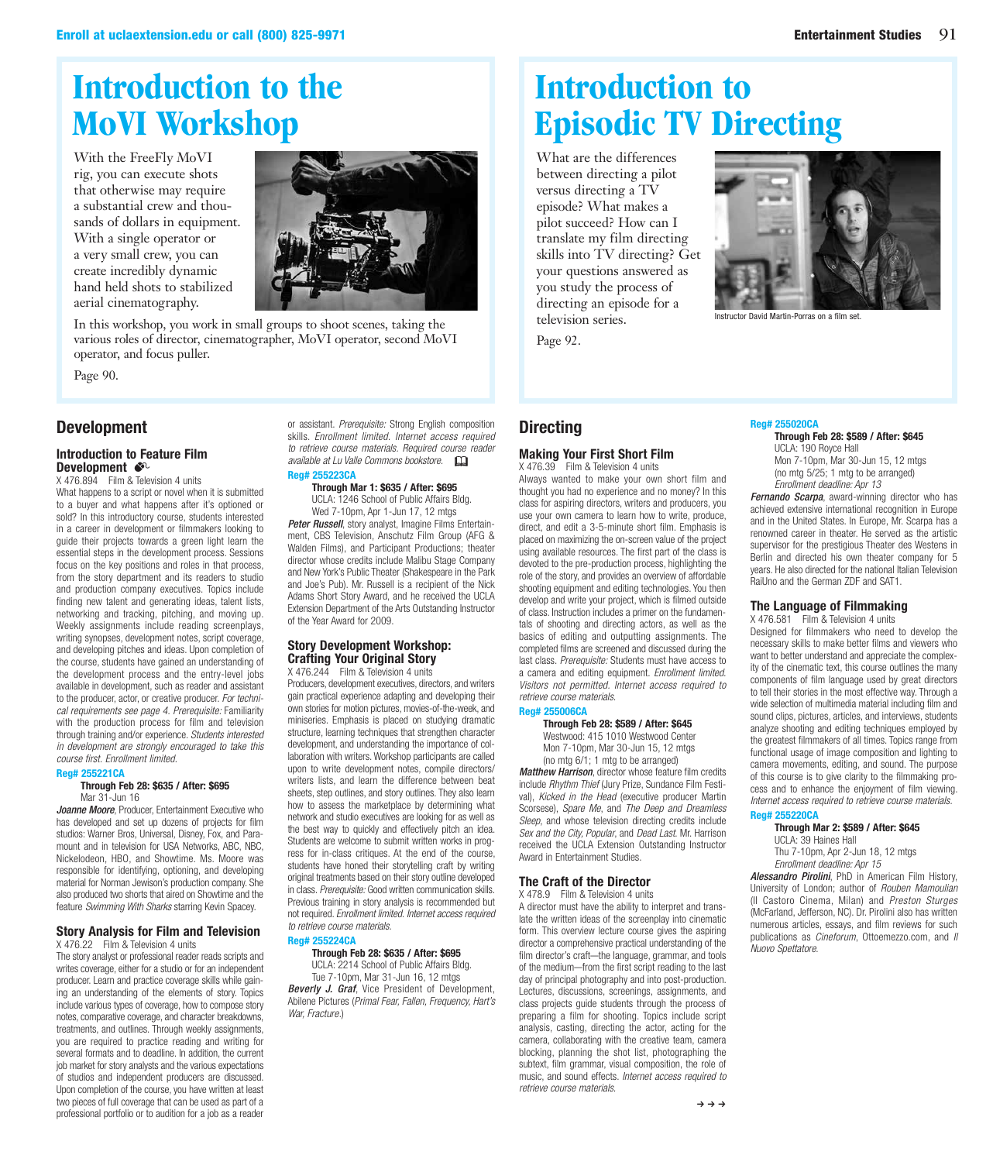## <span id="page-3-0"></span>**[Introduction to the](#page-2-0)  MoVI Workshop**

With the FreeFly MoVI rig, you can execute shots that otherwise may require a substantial crew and thousands of dollars in equipment. With a single operator or a very small crew, you can create incredibly dynamic hand held shots to stabilized aerial cinematography.



In this workshop, you work in small groups to shoot scenes, taking the various roles of director, cinematographer, MoVI operator, second MoVI operator, and focus puller.

Page 90.

#### **Development**

#### **Introduction to Feature Film Development**

X 476.894 Film & Television 4 units

What happens to a script or novel when it is submitted to a buyer and what happens after it's optioned or sold? In this introductory course, students interested in a career in development or filmmakers looking to guide their projects towards a green light learn the essential steps in the development process. Sessions focus on the key positions and roles in that process, from the story department and its readers to studio and production company executives. Topics include finding new talent and generating ideas, talent lists, networking and tracking, pitching, and moving up. Weekly assignments include reading screenplays, writing synopses, development notes, script coverage, and developing pitches and ideas. Upon completion of the course, students have gained an understanding of the development process and the entry-level jobs [available in development, such as reader and assistant](https://www.uclaextension.edu/pages/Course.aspx?reg=255221)  to the producer, actor, or creative producer. *For technical requirements see page 4. Prerequisite:* Familiarity with the production process for film and television through training and/or experience. *Students interested in development are strongly encouraged to take this course first. Enrollment limited.*

#### **Reg# 255221CA**

#### **Through Feb 28: \$635 / After: \$695** Mar 31-Jun 16

*Joanne Moore*, Producer, Entertainment Executive who has developed and set up dozens of projects for film studios: Warner Bros, Universal, Disney, Fox, and Paramount and in television for USA Networks, ABC, NBC, Nickelodeon, HBO, and Showtime. Ms. Moore was responsible for identifying, optioning, and developing material for Norman Jewison's production company. She also produced two shorts that aired on Showtime and the feature *Swimming With Sharks* starring Kevin Spacey.

#### **[Story Analysis for Film and Television](https://www.uclaextension.edu/pages/Course.aspx?reg=255223)**

X 476.22 Film & Television 4 units

The story analyst or professional reader reads scripts and writes coverage, either for a studio or for an independent producer. Learn and practice coverage skills while gaining an understanding of the elements of story. Topics include various types of coverage, how to compose story notes, comparative coverage, and character breakdowns, treatments, and outlines. Through weekly assignments, you are required to practice reading and writing for several formats and to deadline. In addition, the current job market for story analysts and the various expectations of studios and independent producers are discussed. Upon completion of the course, you have written at least two pieces of full coverage that can be used as part of a professional portfolio or to audition for a job as a reader or assistant. *Prerequisite:* Strong English composition skills. *Enrollment limited. Internet access required to retrieve course materials. Required course reader available at Lu Valle Commons bookstore.* & **Reg# 255223CA**

**Through Mar 1: \$635 / After: \$695**

UCLA: 1246 School of Public Affairs Bldg. Wed 7-10pm, Apr 1-Jun 17, 12 mtgs

**Peter Russell**, story analyst, Imagine Films Entertainment, CBS Television, Anschutz Film Group (AFG & Walden Films), and Participant Productions; theater director whose credits include Malibu Stage Company [and New York's Public Theater \(Shakespeare in the Park](https://www.uclaextension.edu/pages/Course.aspx?reg=255223)  and Joe's Pub). Mr. Russell is a recipient of the Nick Adams Short Story Award, and he received the UCLA Extension Department of the Arts Outstanding Instructor of the Year Award for 2009.

#### **Story Development Workshop: Crafting Your Original Story**

X 476.244 Film & Television 4 units Producers, development executives, directors, and writers gain practical experience adapting and developing their own stories for motion pictures, movies-of-the-week, and miniseries. Emphasis is placed on studying dramatic structure, learning techniques that strengthen character development, and understanding the importance of collaboration with writers. Workshop participants are called upon to write development notes, compile directors/ writers lists, and learn the difference between beat sheets, step outlines, and story outlines. They also learn how to assess the marketplace by determining what network and studio executives are looking for as well as the best way to quickly and effectively pitch an idea. Students are welcome to submit written works in prog[ress for in-class critiques. At the end of the course,](https://www.uclaextension.edu/pages/Course.aspx?reg=255224)  students have honed their storytelling craft by writing original treatments based on their story outline developed in class. *Prerequisite:* Good written communication skills. Previous training in story analysis is recommended but not required. *Enrollment limited. Internet access required to retrieve course materials.*

#### **Reg# 255224CA**

*War, Fracture.*)

**Through Feb 28: \$635 / After: \$695** UCLA: 2214 School of Public Affairs Bldg.

Tue 7-10pm, Mar 31-Jun 16, 12 mtgs *Beverly J. Graf*, Vice President of Development, Abilene Pictures (*Primal Fear, Fallen, Frequency, Hart's* 

# **Introduction to [Episodic TV Directing](#page-4-0)**

What are the differences between directing a pilot versus directing a TV episode? What makes a pilot succeed? How can I translate my film directing skills into TV directing? Get your questions answered as you study the process of directing an episode for a television series.

Page 92.



Instructor David Martin-Porras on a film set.

### **Directing**

### **Making Your First Short Film**

X 476.39 Film & Television 4 units Always wanted to make your own short film and thought you had no experience and no money? In this class for aspiring directors, writers and producers, you use your own camera to learn how to write, produce, direct, and edit a 3-5-minute short film. Emphasis is placed on maximizing the on-screen value of the project using available resources. The first part of the class is [devoted to the pre-production process, highlighting the](https://www.uclaextension.edu/pages/Course.aspx?reg=255006)  role of the story, and provides an overview of affordable shooting equipment and editing technologies. You then develop and write your project, which is filmed outside of class. Instruction includes a primer on the fundamentals of shooting and directing actors, as well as the basics of editing and outputting assignments. The completed films are screened and discussed during the last class. *Prerequisite:* Students must have access to a camera and editing equipment. *Enrollment limited. Visitors not permitted. Internet access required to retrieve course materials.*

#### **Reg# 255006CA**

#### **Through Feb 28: \$589 / After: \$645**

Westwood: 415 1010 Westwood Center Mon 7-10pm, Mar 30-Jun 15, 12 mtgs (no mtg 6/1; 1 mtg to be arranged)

*Matthew Harrison*, director whose feature film credits include *Rhythm Thief* (Jury Prize, Sundance Film Festival), *Kicked in the Head* (executive producer Martin Scorsese), *Spare Me*, and *The Deep and Dreamless Sleep*, and whose television directing credits include *Sex and the City, Popular*, and *Dead Last*. Mr. Harrison received the UCLA Extension Outstanding Instructor Award in Entertainment Studies.

#### **The Craft of the Director**

X 478.9 Film & Television 4 units

A director must have the ability to interpret and translate the written ideas of the screenplay into cinematic form. This overview lecture course gives the aspiring director a comprehensive practical understanding of the film director's craft—the language, grammar, and tools of the medium—from the first script reading to the last day of principal photography and into post-production. Lectures, discussions, screenings, assignments, and class projects guide students through the process of preparing a film for shooting. Topics include script analysis, casting, directing the actor, acting for the camera, collaborating with the creative team, camera [blocking, planning the shot list, photographing the](https://www.uclaextension.edu/pages/Course.aspx?reg=255020)  subtext, film grammar, visual composition, the role of music, and sound effects. *Internet access required to retrieve course materials.*

#### **Reg# 255020CA Through Feb 28: \$589 / After: \$645**

UCLA: 190 Royce Hall Mon 7-10pm, Mar 30-Jun 15, 12 mtgs (no mtg 5/25; 1 mtg to be arranged) *Enrollment deadline: Apr 13*

*Fernando Scarpa*, award-winning director who has achieved extensive international recognition in Europe [and in the United States. In Europe, Mr. Scarpa has a](https://www.uclaextension.edu/pages/Course.aspx?reg=255020)  renowned career in theater. He served as the artistic supervisor for the prestigious Theater des Westens in Berlin and directed his own theater company for 5 years. He also directed for the national Italian Television RaiUno and the German ZDF and SAT1.

#### **The Language of Filmmaking**

X 476.581 Film & Television 4 units [Designed for filmmakers who need to develop the](https://www.uclaextension.edu/pages/Course.aspx?reg=255220)  necessary skills to make better films and viewers who want to better understand and appreciate the complexity of the cinematic text, this course outlines the many components of film language used by great directors to tell their stories in the most effective way. Through a wide selection of multimedia material including film and sound clips, pictures, articles, and interviews, students analyze shooting and editing techniques employed by the greatest filmmakers of all times. Topics range from functional usage of image composition and lighting to camera movements, editing, and sound. The purpose of this course is to give clarity to the filmmaking process and to enhance the enjoyment of film viewing. *Internet access required to retrieve course materials.*

#### **Reg# 255220CA**

**Through Mar 2: \$589 / After: \$645**

UCLA: 39 Haines Hall Thu 7-10pm, Apr 2-Jun 18, 12 mtgs *Enrollment deadline: Apr 15*

*Alessandro Pirolini*, PhD in American Film History, University of London; author of *Rouben Mamoulian*  (Il Castoro Cinema, Milan) and *Preston Sturges* (McFarland, Jefferson, NC). Dr. Pirolini also has written numerous articles, essays, and film reviews for such publications as *Cineforum*, Ottoemezzo.com, and *Il Nuovo Spettatore*.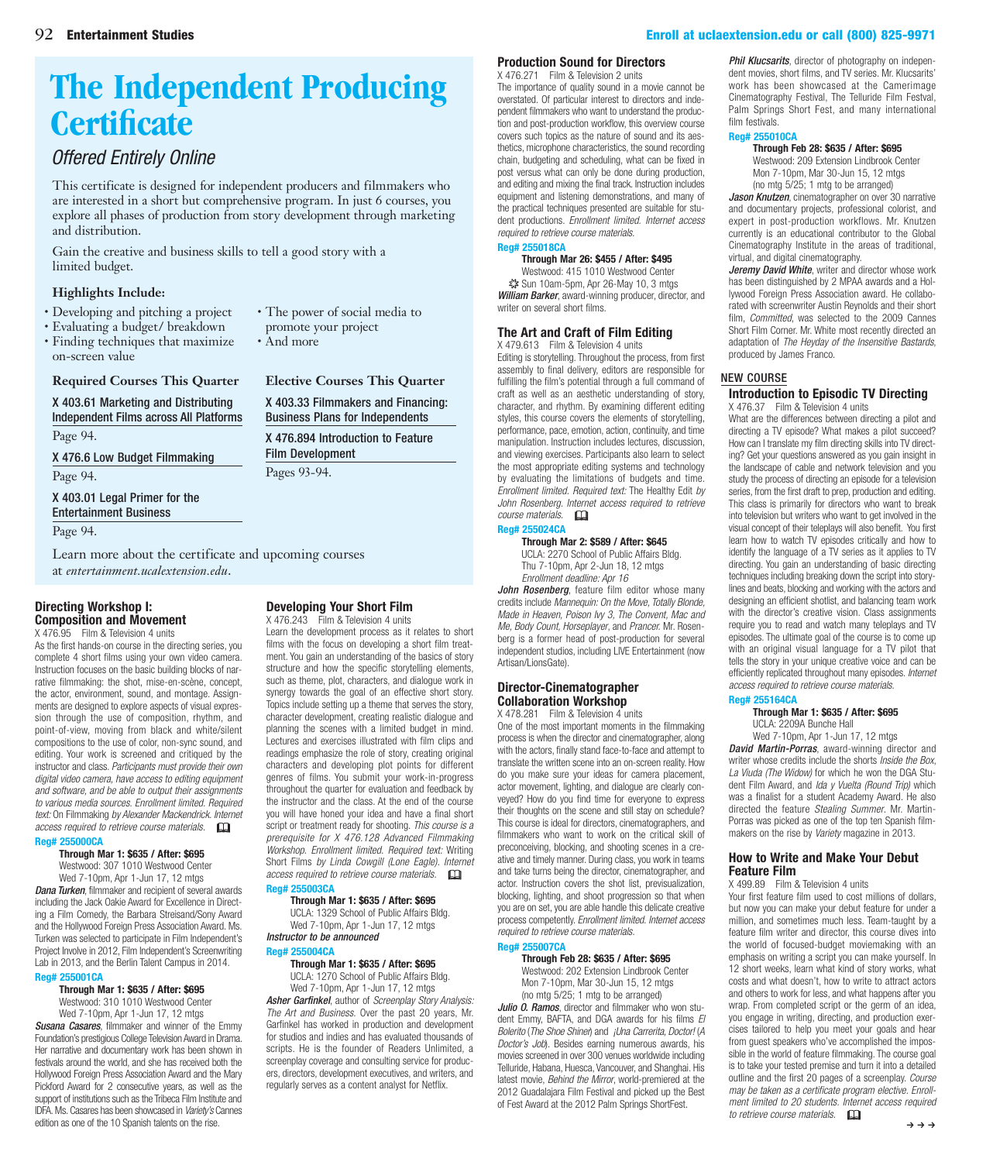# <span id="page-4-0"></span>**[The Independent Producing](http://entertainment.uclaextension.edu/certificates/independent-producing/)  Certificate**

## *Offered Entirely Online*

This certificate is designed for independent producers and filmmakers who are interested in a short but comprehensive program. In just 6 courses, you explore all phases of production from story development through marketing and distribution.

Gain the creative and business skills to tell a good story with a limited budget.

#### **Highlights Include:**

- Developing and pitching a project
- Evaluating a budget/ breakdown
- Finding techniques that maximize on-screen value

• The power of social media to promote your project

> Film Development Pages 93-94.

**Elective Courses This Quarter** [X 403.33 Filmmakers and Financing:](#page-7-0)  Business Plans for Independents [X 476.894 Introduction to Feature](#page-3-0) 

• And more

### **Required Courses This Quarter**

X 403.61 Marketing and Distributing [Independent Films across All Platforms](#page-6-0) Page 94.

[X 476.6 Low Budget Filmmaking](#page-5-0)

Page 94.

[X 403.01 Legal Primer for the](#page-6-0)  Entertainment Business

Page 94.

[Learn more about the certificate and upcoming courses](entertainment.uclaextension.edu)  at *entertainment.ucalextension.edu*.

#### **Directing Workshop I: Composition and Movement** X 476.95 Film & Television 4 units

[As the first hands-on course in the directing series, you](https://www.uclaextension.edu/pages/Course.aspx?reg=255000) complete 4 short films using your own video camera. Instruction focuses on the basic building blocks of narrative filmmaking: the shot, mise-en-scène, concept, the actor, environment, sound, and montage. Assign-

ments are designed to explore aspects of visual expression through the use of composition, rhythm, and point-of-view, moving from black and white/silent compositions to the use of color, non-sync sound, and editing. Your work is screened and critiqued by the instructor and class. *Participants must provide their own digital video camera, have access to editing equipment and software, and be able to output their assignments to various media sources. Enrollment limited. Required text:* On Filmmaking *by Alexander Mackendrick. Internet access required to retrieve course materials.* &

#### **Reg# 255000CA**

#### **Through Mar 1: \$635 / After: \$695** Westwood: 307 1010 Westwood Center

Wed 7-10pm, Apr 1-Jun 17, 12 mtgs *Dana Turken*, filmmaker and recipient of several awards including the Jack Oakie Award for Excellence in Directing a Film Comedy, the Barbara Streisand/Sony Award and the Hollywood Foreign Press Association Award. Ms. Turken was selected to participate in Film Independent's Project Involve in 2012, Film Independent's Screenwriting Lab in 2013, and the Berlin Talent Campus in 2014.

#### **Reg# 255001CA Through Mar 1: \$635 / After: \$695**

Westwood: 310 1010 Westwood Center Wed 7-10pm, Apr 1-Jun 17, 12 mtgs

*Susana Casares*, filmmaker and winner of the Emmy Foundation's prestigious College Television Award in Drama. Her narrative and documentary work has been shown in festivals around the world, and she has received both the Hollywood Foreign Press Association Award and the Mary Pickford Award for 2 consecutive years, as well as the support of institutions such as the Tribeca Film Institute and IDFA. Ms. Casares has been showcased in *Variety's* Cannes edition as one of the 10 Spanish talents on the rise.

#### **Developing Your Short Film** X 476.243 Film & Television 4 units

Learn the development process as it relates to short films with the focus on developing a short film treatment. You gain an understanding of the basics of story structure and how the specific storytelling elements, such as theme, plot, characters, and dialogue work in synergy towards the goal of an effective short story. Topics include setting up a theme that serves the story, character development, creating realistic dialogue and planning the scenes with a limited budget in mind. Lectures and exercises illustrated with film clips and readings emphasize the role of story, creating original characters and developing plot points for different [genres of films. You submit your work-in-progress](https://www.uclaextension.edu/pages/Course.aspx?reg=255003)  throughout the quarter for evaluation and feedback by the instructor and the class. At the end of the course you will have honed your idea and have a final short script or treatment ready for shooting. *This course is a prerequisite for X 476.128 Advanced Filmmaking Workshop. Enrollment limited. Required text:* Writing Short Films *by Linda Cowgill (Lone Eagle). Internet access required to retrieve course materials.* & **Reg# 255003CA**

#### **Through Mar 1: \$635 / After: \$695**

UCLA: 1329 School of Public Affairs Bldg.

Wed 7-10pm, Apr 1-Jun 17, 12 mtgs *Instructor to be announced*

#### **Reg# 255004CA**

**Through Mar 1: \$635 / After: \$695** UCLA: 1270 School of Public Affairs Bldg. Wed 7-10pm, Apr 1-Jun 17, 12 mtgs *Asher Garfinkel*, author of *Screenplay Story Analysis: The Art and Business*. Over the past 20 years, Mr. Garfinkel has worked in production and development for studios and indies and has evaluated thousands of [scripts. He is the founder of Readers Unlimited, a](https://www.uclaextension.edu/pages/Course.aspx?reg=255004)  screenplay coverage and consulting service for producers, directors, development executives, and writers, and regularly serves as a content analyst for Netflix.

#### **Production Sound for Directors**

X 476.271 Film & Television 2 units The importance of quality sound in a movie cannot be overstated. Of particular interest to directors and independent filmmakers who want to understand the production and post-production workflow, this overview course covers such topics as the nature of sound and its aes[thetics, microphone characteristics, the sound recording](https://www.uclaextension.edu/pages/Course.aspx?reg=255018)  chain, budgeting and scheduling, what can be fixed in post versus what can only be done during production, and editing and mixing the final track. Instruction includes equipment and listening demonstrations, and many of the practical techniques presented are suitable for student productions. *Enrollment limited. Internet access required to retrieve course materials.*

#### **Reg# 255018CA**

**Through Mar 26: \$455 / After: \$495**

Westwood: 415 1010 Westwood Center ✷ Sun 10am-5pm, Apr 26-May 10, 3 mtgs *William Barker*, award-winning producer, director, and writer on several short films.

#### **[The Art and Craft of Film Editing](https://www.uclaextension.edu/pages/Course.aspx?reg=255024)**

X 479.613 Film & Television 4 units

Editing is storytelling. Throughout the process, from first assembly to final delivery, editors are responsible for fulfilling the film's potential through a full command of craft as well as an aesthetic understanding of story, character, and rhythm. By examining different editing styles, this course covers the elements of storytelling, performance, pace, emotion, action, continuity, and time manipulation. Instruction includes lectures, discussion, and viewing exercises. Participants also learn to select the most appropriate editing systems and technology by evaluating the limitations of budgets and time. *Enrollment limited. Required text:* The Healthy Edit *by John Rosenberg. Internet access required to retrieve course materials.* &

## **Reg# 255024CA**

**Through Mar 2: \$589 / After: \$645** UCLA: 2270 School of Public Affairs Bldg. Thu 7-10pm, Apr 2-Jun 18, 12 mtgs *Enrollment deadline: Apr 16*

*John Rosenberg*, feature film editor whose many credits include *Mannequin: On the Move, Totally Blonde, Made in Heaven, Poison Ivy 3, The Convent, Mac and Me, Body Count, Horseplayer*, and *Prancer.* Mr. Rosenberg is a former head of post-production for several independent studios, including LIVE Entertainment (now Artisan/LionsGate).

#### **Director-Cinematographer Collaboration Workshop**

X 478.281 Film & Television 4 units [One of the most important moments in the filmmaking](https://www.uclaextension.edu/pages/Course.aspx?reg=255007)  process is when the director and cinematographer, along with the actors, finally stand face-to-face and attempt to translate the written scene into an on-screen reality. How do you make sure your ideas for camera placement, actor movement, lighting, and dialogue are clearly conveyed? How do you find time for everyone to express their thoughts on the scene and still stay on schedule? This course is ideal for directors, cinematographers, and filmmakers who want to work on the critical skill of preconceiving, blocking, and shooting scenes in a creative and timely manner. During class, you work in teams and take turns being the director, cinematographer, and actor. Instruction covers the shot list, previsualization, blocking, lighting, and shoot progression so that when you are on set, you are able handle this delicate creative process competently. *Enrollment limited. Internet access required to retrieve course materials.* **Reg# 255007CA**

#### **Through Feb 28: \$635 / After: \$695**

Westwood: 202 Extension Lindbrook Center Mon 7-10pm, Mar 30-Jun 15, 12 mtgs (no mtg 5/25; 1 mtg to be arranged)

*Julio O. Ramos*, director and filmmaker who won student Emmy, BAFTA, and DGA awards for his films *El Bolerito* (*The Shoe Shiner*) and *¡Una Carrerita, Doctor!* (*A Doctor's Job*). Besides earning numerous awards, his movies screened in over 300 venues worldwide including Telluride, Habana, Huesca, Vancouver, and Shanghai. His latest movie, *Behind the Mirror*, world-premiered at the 2012 Guadalajara Film Festival and picked up the Best of Fest Award at the 2012 Palm Springs ShortFest.

*Phil Klucsarits*, director of photography on independent movies, short films, and TV series. Mr. Klucsarits' work has been showcased at the Camerimage Cinematography Festival, The Telluride Film Festval, Palm Springs Short Fest, and many international film festivals.

#### **Reg# 255010CA**

**Through Feb 28: \$635 / After: \$695**

Westwood: 209 Extension Lindbrook Center Mon 7-10pm, Mar 30-Jun 15, 12 mtgs (no mtg 5/25; 1 mtg to be arranged)

*Jason Knutzen*, cinematographer on over 30 narrative [and documentary projects, professional colorist, and](https://www.uclaextension.edu/pages/Course.aspx?reg=255010)  expert in post-production workflows. Mr. Knutzen currently is an educational contributor to the Global Cinematography Institute in the areas of traditional, virtual, and digital cinematography.

*Jeremy David White*, writer and director whose work has been distinguished by 2 MPAA awards and a Hollywood Foreign Press Association award. He collaborated with screenwriter Austin Reynolds and their short film, *Committed*, was selected to the 2009 Cannes Short Film Corner. Mr. White most recently directed an adaptation of *The Heyday of the Insensitive Bastards*, produced by James Franco.

#### NEW COURSE

#### **[Introduction to Episodic TV Directing](https://www.uclaextension.edu/pages/Course.aspx?reg=255164)** X 476.37 Film & Television 4 units

What are the differences between directing a pilot and directing a TV episode? What makes a pilot succeed? How can I translate my film directing skills into TV directing? Get your questions answered as you gain insight in the landscape of cable and network television and you study the process of directing an episode for a television series, from the first draft to prep, production and editing. This class is primarily for directors who want to break into television but writers who want to get involved in the visual concept of their teleplays will also benefit. You first learn how to watch TV episodes critically and how to identify the language of a TV series as it applies to TV directing. You gain an understanding of basic directing techniques including breaking down the script into storylines and beats, blocking and working with the actors and designing an efficient shotlist, and balancing team work with the director's creative vision. Class assignments require you to read and watch many teleplays and TV episodes. The ultimate goal of the course is to come up with an original visual language for a TV pilot that tells the story in your unique creative voice and can be efficiently replicated throughout many episodes. *Internet access required to retrieve course materials.*

#### **Reg# 255164CA**

**Through Mar 1: \$635 / After: \$695** UCLA: 2209A Bunche Hall

Wed 7-10pm, Apr 1-Jun 17, 12 mtgs

*David Martin-Porras*, award-winning director and writer whose credits include the shorts *Inside the Box*, *La Viuda (The Widow)* for which he won the DGA Student Film Award, and *Ida y Vuelta (Round Trip)* which was a finalist for a student Academy Award. He also directed the feature *Stealing Summer*. Mr. Martin-Porras was picked as one of the top ten Spanish filmmakers on the rise by *Variety* magazine in 2013.

#### **[How to Write and Make Your Debut](https://www.uclaextension.edu/pages/Course.aspx?reg=255131)  Feature Film**

X 499.89 Film & Television 4 units

Your first feature film used to cost millions of dollars, but now you can make your debut feature for under a million, and sometimes much less. Team-taught by a feature film writer and director, this course dives into the world of focused-budget moviemaking with an emphasis on writing a script you can make yourself. In 12 short weeks, learn what kind of story works, what costs and what doesn't, how to write to attract actors and others to work for less, and what hannens after you wrap. From completed script or the germ of an idea, you engage in writing, directing, and production exercises tailored to help you meet your goals and hear from guest speakers who've accomplished the impossible in the world of feature filmmaking. The course goal is to take your tested premise and turn it into a detailed outline and the first 20 pages of a screenplay. *Course may be taken as a certificate program elective. Enrollment limited to 20 students. Internet access required to retrieve course materials.* &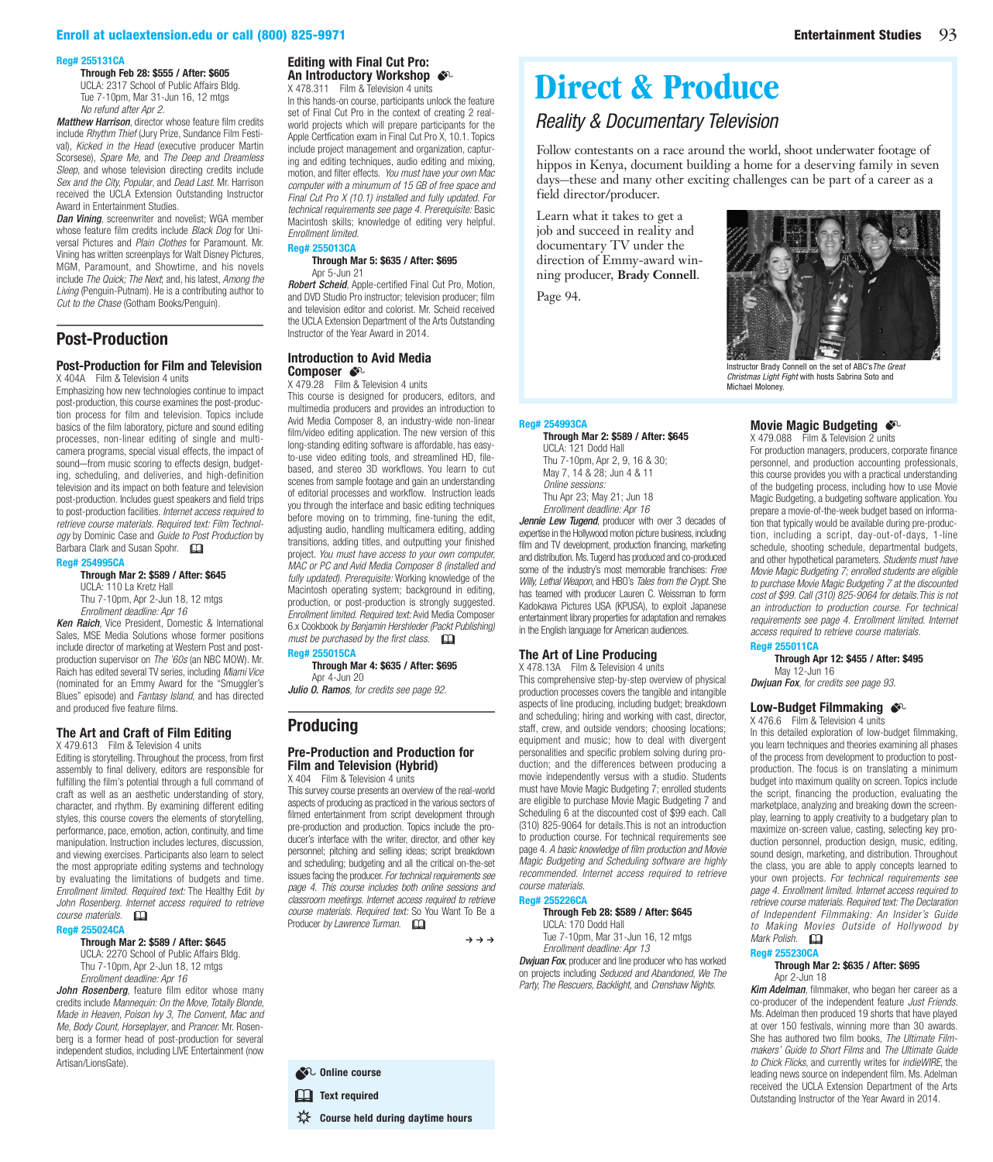#### <span id="page-5-0"></span>[Enroll at uclaextension.edu or call \(800\) 825-9971](www.uclaextension.edu) [Entertainment Studies](entertainment.uclaextension.edu) 93

#### **Reg# 255131CA**

**Through Feb 28: \$555 / After: \$605**

UCLA: 2317 School of Public Affairs Bldg. Tue 7-10pm, Mar 31-Jun 16, 12 mtgs *No refund after Apr 2.*

*Matthew Harrison*, director whose feature film credits include *Rhythm Thief* (Jury Prize, Sundance Film Festival), *Kicked in the Head* (executive producer Martin Scorsese), *Spare Me*, and *The Deep and Dreamless Sleep*, and whose television directing credits include *Sex and the City, Popular*, and *Dead Last*. Mr. Harrison received the UCLA Extension Outstanding Instructor Award in Entertainment Studies.

*Dan Vining*, screenwriter and novelist; WGA member whose feature film credits include *Black Dog* for Universal Pictures and *Plain Clothes* for Paramount. Mr. Vining has written screenplays for Walt Disney Pictures, [MGM, Paramount, and Showtime, and his novels](https://www.uclaextension.edu/pages/Course.aspx?reg=255131)  include *The Quick; The Next*; and, his latest, *Among the Living* (Penguin-Putnam). He is a contributing author to *Cut to the Chase* (Gotham Books/Penguin).

#### **Post-Production**

#### **[Post-Production for Film and Television](https://www.uclaextension.edu/pages/Course.aspx?reg=254995)**

X 404A Film & Television 4 units Emphasizing how new technologies continue to impact post-production, this course examines the post-production process for film and television. Topics include basics of the film laboratory, picture and sound editing processes, non-linear editing of single and multicamera programs, special visual effects, the impact of sound—from music scoring to effects design, budgeting, scheduling, and deliveries, and high-definition television and its impact on both feature and television post-production. Includes guest speakers and field trips to post-production facilities. *Internet access required to retrieve course materials. Required text: Film Technology* by Dominic Case and *Guide to Post Production* by Barbara Clark and Susan Spohr.

#### **Reg# 254995CA**

**Through Mar 2: \$589 / After: \$645** UCLA: 110 La Kretz Hall Thu 7-10pm, Apr 2-Jun 18, 12 mtgs *Enrollment deadline: Apr 16*

*Ken Raich*, Vice President, Domestic & International Sales, MSE Media Solutions whose former positions include director of marketing at Western Post and postproduction supervisor on *The '60s* (an NBC MOW). Mr. Raich has edited several TV series, including *Miami Vice* (nominated for an Emmy Award for the "Smuggler's Blues" episode) and *Fantasy Island*, and has directed and produced five feature films.

#### **[The Art and Craft of Film Editing](https://www.uclaextension.edu/pages/Course.aspx?reg=255024)**

X 479.613 Film & Television 4 units

Editing is storytelling. Throughout the process, from first assembly to final delivery, editors are responsible for fulfilling the film's potential through a full command of craft as well as an aesthetic understanding of story, character, and rhythm. By examining different editing styles, this course covers the elements of storytelling, performance, pace, emotion, action, continuity, and time manipulation. Instruction includes lectures, discussion, and viewing exercises. Participants also learn to select the most appropriate editing systems and technology by evaluating the limitations of budgets and time. *Enrollment limited. Required text:* The Healthy Edit *by John Rosenberg. Internet access required to retrieve course materials.* &

#### **Reg# 255024CA**

#### **Through Mar 2: \$589 / After: \$645** UCLA: 2270 School of Public Affairs Bldg.

Thu 7-10pm, Apr 2-Jun 18, 12 mtgs *Enrollment deadline: Apr 16*

*John Rosenberg*, feature film editor whose many credits include *Mannequin: On the Move, Totally Blonde, Made in Heaven, Poison Ivy 3, The Convent, Mac and Me, Body Count, Horseplayer*, and *Prancer.* Mr. Rosenberg is a former head of post-production for several independent studios, including LIVE Entertainment (now Artisan/LionsGate).

#### **Editing with Final Cut Pro: An Introductory Workshop**  $\clubsuit$

X 478.311 Film & Television 4 units In this hands-on course, participants unlock the feature set of Final Cut Pro in the context of creating 2 realworld projects which will prepare participants for the Apple Certfication exam in Final Cut Pro X, 10.1. Topics include project management and organization, capturing and editing techniques, audio editing and mixing, motion, and filter effects. *You must have your own Mac computer with a minumum of 15 GB of free space and Final Cut Pro X (10.1) installed and fully updated. For technical requirements see page 4. Prerequisite:* Basic [Macintosh skills; knowledge of editing very helpful.](https://www.uclaextension.edu/pages/Course.aspx?reg=255013)  *Enrollment limited.* **Reg# 255013CA**

#### **Through Mar 5: \$635 / After: \$695** Apr 5-Jun 21

*Robert Scheid*, Apple-certified Final Cut Pro, Motion, and DVD Studio Pro instructor; television producer; film and television editor and colorist. Mr. Scheid received the UCLA Extension Department of the Arts Outstanding Instructor of the Year Award in 2014.

#### **Introduction to Avid Media Composer**  $\mathcal{S}^{\mathbb{C}}$

X 479.28 Film & Television 4 units

[This course is designed for producers, editors, and](https://www.uclaextension.edu/pages/Course.aspx?reg=255015)  multimedia producers and provides an introduction to Avid Media Composer 8, an industry-wide non-linear film/video editing application. The new version of this long-standing editing software is affordable, has easyto-use video editing tools, and streamlined HD, filebased, and stereo 3D workflows. You learn to cut scenes from sample footage and gain an understanding of editorial processes and workflow. Instruction leads you through the interface and basic editing techniques before moving on to trimming, fine-tuning the edit, adjusting audio, handling multicamera editing, adding transitions, adding titles, and outputting your finished project. *You must have access to your own computer, MAC or PC and Avid Media Composer 8 (installed and fully updated). Prerequisite:* Working knowledge of the Macintosh operating system; background in editing, production, or post-production is strongly suggested. *Enrollment limited. Required text:* Avid Media Composer 6.x Cookbook *by Benjamin Hershleder (Packt Publishing) must be purchased by the first class.*  $\square$ 

## **Reg# 255015CA**

**Through Mar 4: \$635 / After: \$695** Apr 4-Jun 20

*Julio O. Ramos*, *for credits see page 92.*

### **Producing**

#### **[Pre-Production and Production for](https://www.uclaextension.edu/pages/Course.aspx?reg=254993)  Film and Television (Hybrid)** X 404 Film & Television 4 units

This survey course presents an overview of the real-world aspects of producing as practiced in the various sectors of filmed entertainment from script development through pre-production and production. Topics include the producer's interface with the writer, director, and other key personnel; pitching and selling ideas; script breakdown and scheduling; budgeting and all the critical on-the-set issues facing the producer. *For technical requirements see page 4. This course includes both online sessions and classroom meetings. Internet access required to retrieve course materials. Required text:* So You Want To Be a Producer by Lawrence Turman.

 $\rightarrow \rightarrow \rightarrow$ 

UCLA: 121 Dodd Hall Thu 7-10pm, Apr 2, 9, 16 & 30; May 7, 14 & 28; Jun 4 & 11

Thu Apr 23; May 21; Jun 18 *Enrollment deadline: Apr 16*

**The Art of Line Producing** X 478.13A Film & Television 4 units

*course materials.* **Reg# 255226CA**

*Online sessions:*

#### Follow contestants on a race around the world, shoot underwater footage of hippos in Kenya, document building a home for a deserving family in seven days—these and many other exciting challenges can be part of a career as a field director/producer. Learn what it takes to get a

job and succeed in reality and documentary TV under the direction of Emmy-award winning producer, **Brady Connell**.

**[Direct & Produce](#page-6-0)**

*Reality & Documentary Television*

**Through Mar 2: \$589 / After: \$645**

*Jennie Lew Tugend*, producer with over 3 decades of expertise in the Hollywood motion picture business, including film and TV development, production financing, marketing and distribution. Ms. Tugend has produced and co-produced some of the industry's most memorable franchises: *Free Willy, Lethal Weapon*, and HBO's *Tales from the Crypt*. She has teamed with producer Lauren C. Weissman to form [Kadokawa Pictures USA \(KPUSA\), to exploit Japanese](https://www.uclaextension.edu/pages/Course.aspx?reg=254993)  entertainment library properties for adaptation and remakes in the English language for American audiences.

This comprehensive step-by-step overview of physical production processes covers the tangible and intangible [aspects of line producing, including budget; breakdown](https://www.uclaextension.edu/pages/Course.aspx?reg=255226)  and scheduling; hiring and working with cast, director, staff, crew, and outside vendors; choosing locations; equipment and music; how to deal with divergent personalities and specific problem solving during production; and the differences between producing a movie independently versus with a studio. Students must have Movie Magic Budgeting 7; enrolled students are eligible to purchase Movie Magic Budgeting 7 and Scheduling 6 at the discounted cost of \$99 each. Call (310) 825-9064 for details.This is not an introduction to production course. For technical requirements see page 4. *A basic knowledge of film production and Movie Magic Budgeting and Scheduling software are highly recommended. Internet access required to retrieve* 

**Through Feb 28: \$589 / After: \$645**

Tue 7-10pm, Mar 31-Jun 16, 12 mtgs *Enrollment deadline: Apr 13*

*Dwjuan Fox*, producer and line producer who has worked on projects including *Seduced and Abandoned, We The Party, The Rescuers, Backlight,* and *Crenshaw Nights*.

UCLA: 170 Dodd Hall

Page 94.

**Reg# 254993CA**



Instructor Brady Connell on the set of ABC's*The Great Christmas Light Fight* with hosts Sabrina Soto and Michael Moloney.

#### **Movie Magic Budgeting**  $\cdot$

X 479.088 Film & Television 2 units For production managers, producers, corporate finance [personnel, and production accounting professionals,](https://www.uclaextension.edu/pages/Course.aspx?reg=255011)  this course provides you with a practical understanding of the budgeting process, including how to use Movie Magic Budgeting, a budgeting software application. You prepare a movie-of-the-week budget based on information that typically would be available during pre-production, including a script, day-out-of-days, 1-line schedule, shooting schedule, departmental budgets, and other hypothetical parameters. *Students must have Movie Magic Budgeting 7; enrolled students are eligible to purchase Movie Magic Budgeting 7 at the discounted cost of \$99. Call (310) 825-9064 for details.This is not an introduction to production course. For technical requirements see page 4. Enrollment limited. Internet access required to retrieve course materials.*

#### **Reg# 255011CA**

**Through Apr 12: \$455 / After: \$495** May 12-Jun 16

*Dwjuan Fox*, *for credits see page 93.*

#### Low-Budget Filmmaking  $\clubsuit$ <sup>c</sup>

X 476.6 Film & Television 4 units

In this detailed exploration of low-budget filmmaking, you learn techniques and theories examining all phases of the process from development to production to postproduction. The focus is on translating a minimum budget into maximum quality on screen. Topics include [the script, financing the production, evaluating the](https://www.uclaextension.edu/pages/Course.aspx?reg=255230)  marketplace, analyzing and breaking down the screenplay, learning to apply creativity to a budgetary plan to maximize on-screen value, casting, selecting key production personnel, production design, music, editing, sound design, marketing, and distribution. Throughout the class, you are able to apply concepts learned to your own projects. *For technical requirements see page 4. Enrollment limited. Internet access required to retrieve course materials. Required text: The Declaration of Independent Filmmaking: An Insider's Guide to Making Movies Outside of Hollywood by Mark Polish.* &

#### **Reg# 255230CA Through Mar 2: \$635 / After: \$695**

Apr 2-Jun 18

*Kim Adelman*, filmmaker, who began her career as a co-producer of the independent feature *Just Friends*. Ms. Adelman then produced 19 shorts that have played at over 150 festivals, winning more than 30 awards. She has authored two film books, *The Ultimate Filmmakers' Guide to Short Films* and *The Ultimate Guide to Chick Flicks*, and currently writes for *indieWIRE*, the leading news source on independent film. Ms. Adelman received the UCLA Extension Department of the Arts Outstanding Instructor of the Year Award in 2014.

82 Online course **EQ** Text required

**Course held during daytime hours**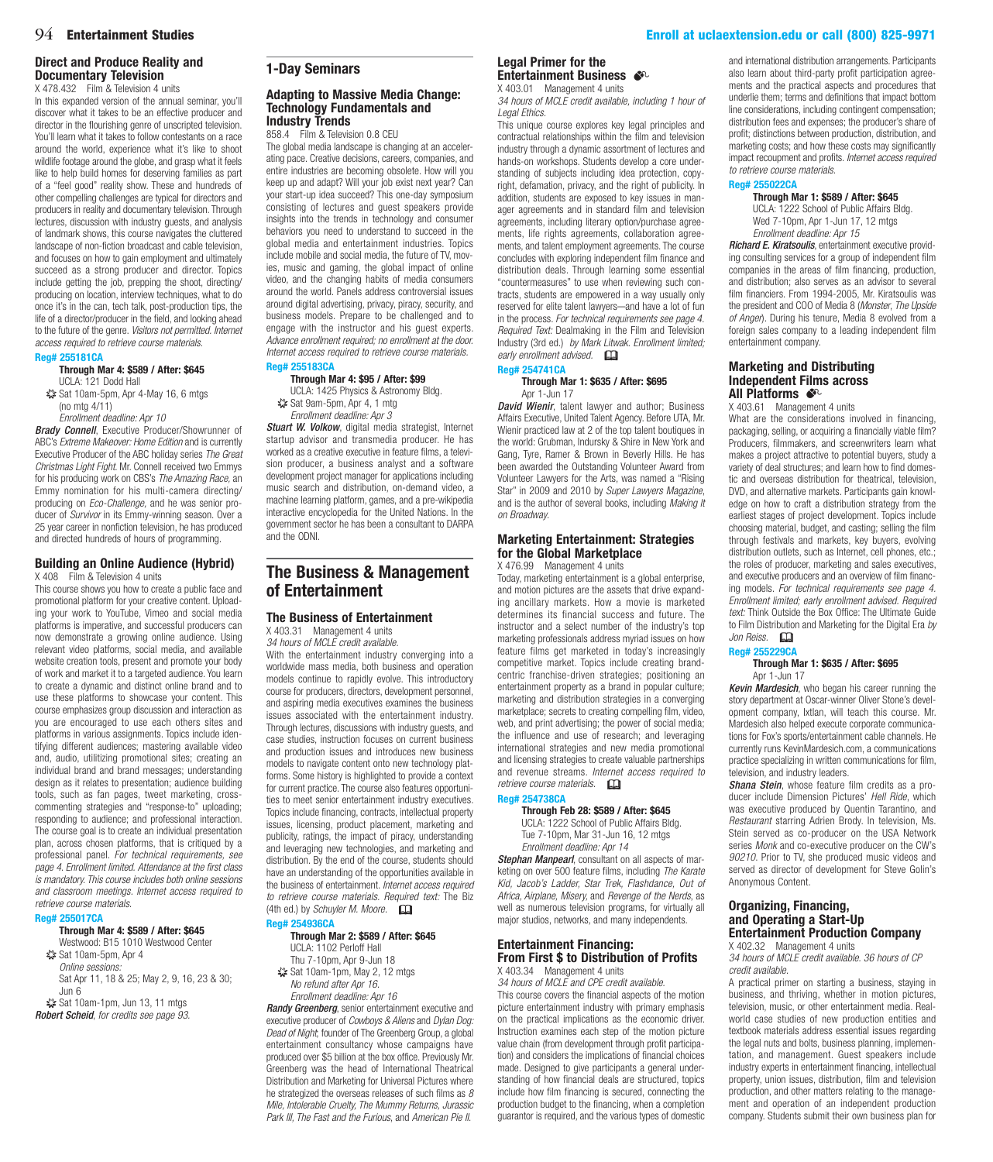#### <span id="page-6-0"></span>**Direct and Produce Reality and Documentary Television**

X 478.432 Film & Television 4 units

In this expanded version of the annual seminar, you'll discover what it takes to be an effective producer and director in the flourishing genre of unscripted television. You'll learn what it takes to follow contestants on a race around the world, experience what it's like to shoot wildlife footage around the globe, and grasp what it feels like to help build homes for deserving families as part of a "feel good" reality show. These and hundreds of [other compelling challenges are typical for directors and](https://www.uclaextension.edu/pages/Course.aspx?reg=255181)  producers in reality and documentary television. Through lectures, discussion with industry guests, and analysis of landmark shows, this course navigates the cluttered landscape of non-fiction broadcast and cable television, and focuses on how to gain employment and ultimately succeed as a strong producer and director. Topics include getting the job, prepping the shoot, directing/ producing on location, interview techniques, what to do once it's in the can, tech talk, post-production tips, the life of a director/producer in the field, and looking ahead to the future of the genre. *Visitors not permitted. Internet access required to retrieve course materials.*

#### **Reg# 255181CA**

#### **Through Mar 4: \$589 / After: \$645** UCLA: 121 Dodd Hall

✷ Sat 10am-5pm, Apr 4-May 16, 6 mtgs (no mtg 4/11)

*Enrollment deadline: Apr 10*

*Brady Connell, Executive Producer/Showrunner of* ABC's *Extreme Makeover: Home Edition* and is currently Executive Producer of the ABC holiday series *The Great Christmas Light Fight*. Mr. Connell received two Emmys for his producing work on CBS's *The Amazing Race,* an Emmy nomination for his multi-camera directing/ producing on *Eco-Challenge,* and he was senior producer of *Survivor* in its Emmy-winning season. Over a 25 year career in nonfiction television, he has produced and directed hundreds of hours of programming.

#### **[Building an Online Audience \(Hybrid\)](https://www.uclaextension.edu/pages/Course.aspx?reg=255017)**

X 408 Film & Television 4 units This course shows you how to create a public face and promotional platform for your creative content. Uploading your work to YouTube, Vimeo and social media platforms is imperative, and successful producers can now demonstrate a growing online audience. Using relevant video platforms, social media, and available website creation tools, present and promote your body of work and market it to a targeted audience. You learn to create a dynamic and distinct online brand and to use these platforms to showcase your content. This course emphasizes group discussion and interaction as you are encouraged to use each others sites and platforms in various assignments. Topics include identifying different audiences; mastering available video and, audio, utilitizing promotional sites; creating an individual brand and brand messages; understanding design as it relates to presentation; audience building tools, such as fan pages, tweet marketing, crosscommenting strategies and "response-to" uploading; responding to audience; and professional interaction. The course goal is to create an individual presentation plan, across chosen platforms, that is critiqued by a professional panel. *For technical requirements, see page 4*. *Enrollment limited. Attendance at the first class is mandatory. This course includes both online sessions and classroom meetings. Internet access required to retrieve course materials.*

#### **Reg# 255017CA**

#### **Through Mar 4: \$589 / After: \$645**

Westwood: B15 1010 Westwood Center ✷ Sat 10am-5pm, Apr 4 *Online sessions:* Sat Apr 11, 18 & 25; May 2, 9, 16, 23 & 30; Jun 6

✷ Sat 10am-1pm, Jun 13, 11 mtgs *Robert Scheid*, *for credits see page 93.*

#### **1-Day Seminars**

#### **[Adapting to Massive Media Change:](https://www.uclaextension.edu/pages/Course.aspx?reg=255183)  Technology Fundamentals and Industry Trends**

#### 858.4 Film & Television 0.8 CEU

The global media landscape is changing at an accelerating pace. Creative decisions, careers, companies, and entire industries are becoming obsolete. How will you keep up and adapt? Will your job exist next year? Can your start-up idea succeed? This one-day symposium consisting of lectures and guest speakers provide insights into the trends in technology and consumer behaviors you need to understand to succeed in the global media and entertainment industries. Topics include mobile and social media, the future of TV, movies, music and gaming, the global impact of online video, and the changing habits of media consumers around the world. Panels address controversial issues around digital advertising, privacy, piracy, security, and business models. Prepare to be challenged and to engage with the instructor and his guest experts. *Advance enrollment required; no enrollment at the door. Internet access required to retrieve course materials.*

#### **Reg# 255183CA Through Mar 4: \$95 / After: \$99**

UCLA: 1425 Physics & Astronomy Bldg. ✷ Sat 9am-5pm, Apr 4, 1 mtg *Enrollment deadline: Apr 3*

*Stuart W. Volkow*, digital media strategist, Internet startup advisor and transmedia producer. He has worked as a creative executive in feature films, a television producer, a business analyst and a software development project manager for applications including music search and distribution, on-demand video, a machine learning platform, games, and a pre-wikipedia interactive encyclopedia for the United Nations. In the government sector he has been a consultant to DARPA and the ODNI.

## **[The Business & Management](https://www.uclaextension.edu/pages/Course.aspx?reg=254936)  of Entertainment**

#### **The Business of Entertainment**

X 403.31 Management 4 units *34 hours of MCLE credit available.*

With the entertainment industry converging into a worldwide mass media, both business and operation models continue to rapidly evolve. This introductory course for producers, directors, development personnel, and aspiring media executives examines the business issues associated with the entertainment industry. Through lectures, discussions with industry guests, and case studies, instruction focuses on current business and production issues and introduces new business models to navigate content onto new technology platforms. Some history is highlighted to provide a context for current practice. The course also features opportunities to meet senior entertainment industry executives. Topics include financing, contracts, intellectual property issues, licensing, product placement, marketing and publicity, ratings, the impact of piracy, understanding and leveraging new technologies, and marketing and distribution. By the end of the course, students should have an understanding of the opportunities available in the business of entertainment. *Internet access required to retrieve course materials. Required text:* The Biz (4th ed.) by *Schuyler M. Moore.* &

#### **Reg# 254936CA**

#### **Through Mar 2: \$589 / After: \$645** UCLA: 1102 Perloff Hall

Thu 7-10pm, Apr 9-Jun 18 ✷ Sat 10am-1pm, May 2, 12 mtgs *No refund after Apr 16. Enrollment deadline: Apr 16*

*Randy Greenberg*, senior entertainment executive and executive producer of *Cowboys & Aliens* and *Dylan Dog: Dead of Night*; founder of The Greenberg Group, a global entertainment consultancy whose campaigns have produced over \$5 billion at the box office. Previously Mr. Greenberg was the head of International Theatrical Distribution and Marketing for Universal Pictures where he strategized the overseas releases of such films as *8 Mile, Intolerable Cruelty, The Mummy Returns, Jurassic Park III, The Fast and the Furious*, and *American Pie II*.

#### **Legal Primer for the Entertainment Business**

X 403.01 Management 4 units *34 hours of MCLE credit available, including 1 hour of* 

*Legal Ethics.*

This unique course explores key legal principles and contractual relationships within the film and television [industry through a dynamic assortment of lectures and](https://www.uclaextension.edu/pages/Course.aspx?reg=254741)  hands-on workshops. Students develop a core understanding of subjects including idea protection, copyright, defamation, privacy, and the right of publicity. In addition, students are exposed to key issues in manager agreements and in standard film and television agreements, including literary option/purchase agreements, life rights agreements, collaboration agreements, and talent employment agreements. The course concludes with exploring independent film finance and distribution deals. Through learning some essential "countermeasures" to use when reviewing such contracts, students are empowered in a way usually only reserved for elite talent lawyers—and have a lot of fun in the process. *For technical requirements see page 4. Required Text:* Dealmaking in the Film and Television Industry (3rd ed.) *by Mark Litwak. Enrollment limited; early enrollment advised.* &

#### **Reg# 254741CA Through Mar 1: \$635 / After: \$695** Apr 1-Jun 17

*David Wienir*, talent lawyer and author; Business Affairs Executive, United Talent Agency. Before UTA, Mr. Wienir practiced law at 2 of the top talent boutiques in the world: Grubman, Indursky & Shire in New York and Gang, Tyre, Ramer & Brown in Beverly Hills. He has been awarded the Outstanding Volunteer Award from Volunteer Lawyers for the Arts, was named a "Rising Star" in 2009 and 2010 by *Super Lawyers Magazine*, and is the author of several books, including *Making It on Broadway*.

#### **[Marketing Entertainment: Strategies](https://www.uclaextension.edu/pages/Course.aspx?reg=254738)  for the Global Marketplace** X 476.99 Management 4 units

Today, marketing entertainment is a global enterprise, and motion pictures are the assets that drive expanding ancillary markets. How a movie is marketed determines its financial success and future. The instructor and a select number of the industry's top marketing professionals address myriad issues on how feature films get marketed in today's increasingly competitive market. Topics include creating brandcentric franchise-driven strategies; positioning an entertainment property as a brand in popular culture; marketing and distribution strategies in a converging marketplace; secrets to creating compelling film, video, web, and print advertising; the power of social media; the influence and use of research; and leveraging international strategies and new media promotional and licensing strategies to create valuable partnerships and revenue streams. *Internet access required to retrieve course materials.*  $\square$ **Reg# 254738CA**

### **Through Feb 28: \$589 / After: \$645**

UCLA: 1222 School of Public Affairs Bldg. Tue 7-10pm, Mar 31-Jun 16, 12 mtgs *Enrollment deadline: Apr 14*

*Stephan Manpearl*, consultant on all aspects of marketing on over 500 feature films, including *The Karate Kid, Jacob's Ladder, Star Trek, Flashdance, Out of Africa, Airplane, Misery,* and *Revenge of the Nerds*, as well as numerous television programs, for virtually all major studios, networks, and many independents.

#### **Entertainment Financing: [From First \\$ to Distribution of Profits](https://www.uclaextension.edu/pages/Course.aspx?reg=255022)** X 403.34 Management 4 units

*34 hours of MCLE and CPE credit available.* This course covers the financial aspects of the motion picture entertainment industry with primary emphasis on the practical implications as the economic driver. Instruction examines each step of the motion picture value chain (from development through profit participation) and considers the implications of financial choices made. Designed to give participants a general understanding of how financial deals are structured, topics include how film financing is secured, connecting the production budget to the financing, when a completion guarantor is required, and the various types of domestic

and international distribution arrangements. Participants also learn about third-party profit participation agreements and the practical aspects and procedures that [underlie them; terms and definitions that impact bottom](https://www.uclaextension.edu/pages/Course.aspx?reg=255022)  line considerations, including contingent compensation; distribution fees and expenses; the producer's share of profit; distinctions between production, distribution, and marketing costs; and how these costs may significantly impact recoupment and profits. *Internet access required to retrieve course materials.*

#### **Reg# 255022CA**

#### **Through Mar 1: \$589 / After: \$645**

UCLA: 1222 School of Public Affairs Bldg. Wed 7-10pm, Apr 1-Jun 17, 12 mtgs *Enrollment deadline: Apr 15*

*Richard E. Kiratsoulis*, entertainment executive providing consulting services for a group of independent film companies in the areas of film financing, production, and distribution; also serves as an advisor to several film financiers. From 1994-2005, Mr. Kiratsoulis was the president and COO of Media 8 (*Monster*, *The Upside of Anger*). During his tenure, Media 8 evolved from a foreign sales company to a leading independent film entertainment company.

#### **Marketing and Distributing Independent Films across All Platforms**

#### X 403.61 Management 4 units

What are the considerations involved in financing, [packaging, selling, or acquiring a financially viable film?](https://www.uclaextension.edu/pages/Course.aspx?reg=255229)  Producers, filmmakers, and screenwriters learn what makes a project attractive to potential buyers, study a variety of deal structures; and learn how to find domestic and overseas distribution for theatrical, television, DVD, and alternative markets. Participants gain knowledge on how to craft a distribution strategy from the earliest stages of project development. Topics include choosing material, budget, and casting; selling the film through festivals and markets, key buyers, evolving distribution outlets, such as Internet, cell phones, etc.; the roles of producer, marketing and sales executives, and executive producers and an overview of film financing models. *For technical requirements see page 4. Enrollment limited; early enrollment advised. Required text:* Think Outside the Box Office: The Ultimate Guide to Film Distribution and Marketing for the Digital Era *by*  Jon Reiss.  $\Box$ 

## **Reg# 25522**

#### **Through Mar 1: \$635 / After: \$695** Apr 1-Jun 17

*Kevin Mardesich*, who began his career running the story department at Oscar-winner Oliver Stone's development company, Ixtlan, will teach this course. Mr. Mardesich also helped execute corporate communications for Fox's sports/entertainment cable channels. He currently runs KevinMardesich.com, a communications practice specializing in written communications for film, television, and industry leaders.

*Shana Stein*, whose feature film credits as a producer include Dimension Pictures' *Hell Ride*, which was executive produced by Quentin Tarantino, and *Restaurant* starring Adrien Brody. In television, Ms. Stein served as co-producer on the USA Network series *Monk* and co-executive producer on the CW's *90210*. Prior to TV, she produced music videos and served as director of development for Steve Golin's Anonymous Content.

#### **Organizing, Financing, and Operating a Start-Up [Entertainment Production Company](https://www.uclaextension.edu/pages/Course.aspx?reg=254937)**

X 402.32 Management 4 units *34 hours of MCLE credit available. 36 hours of CP credit available.*

A practical primer on starting a business, staying in business, and thriving, whether in motion pictures, television, music, or other entertainment media. Realworld case studies of new production entities and textbook materials address essential issues regarding the legal nuts and bolts, business planning, implementation, and management. Guest speakers include industry experts in entertainment financing, intellectual property, union issues, distribution, film and television production, and other matters relating to the management and operation of an independent production company. Students submit their own business plan for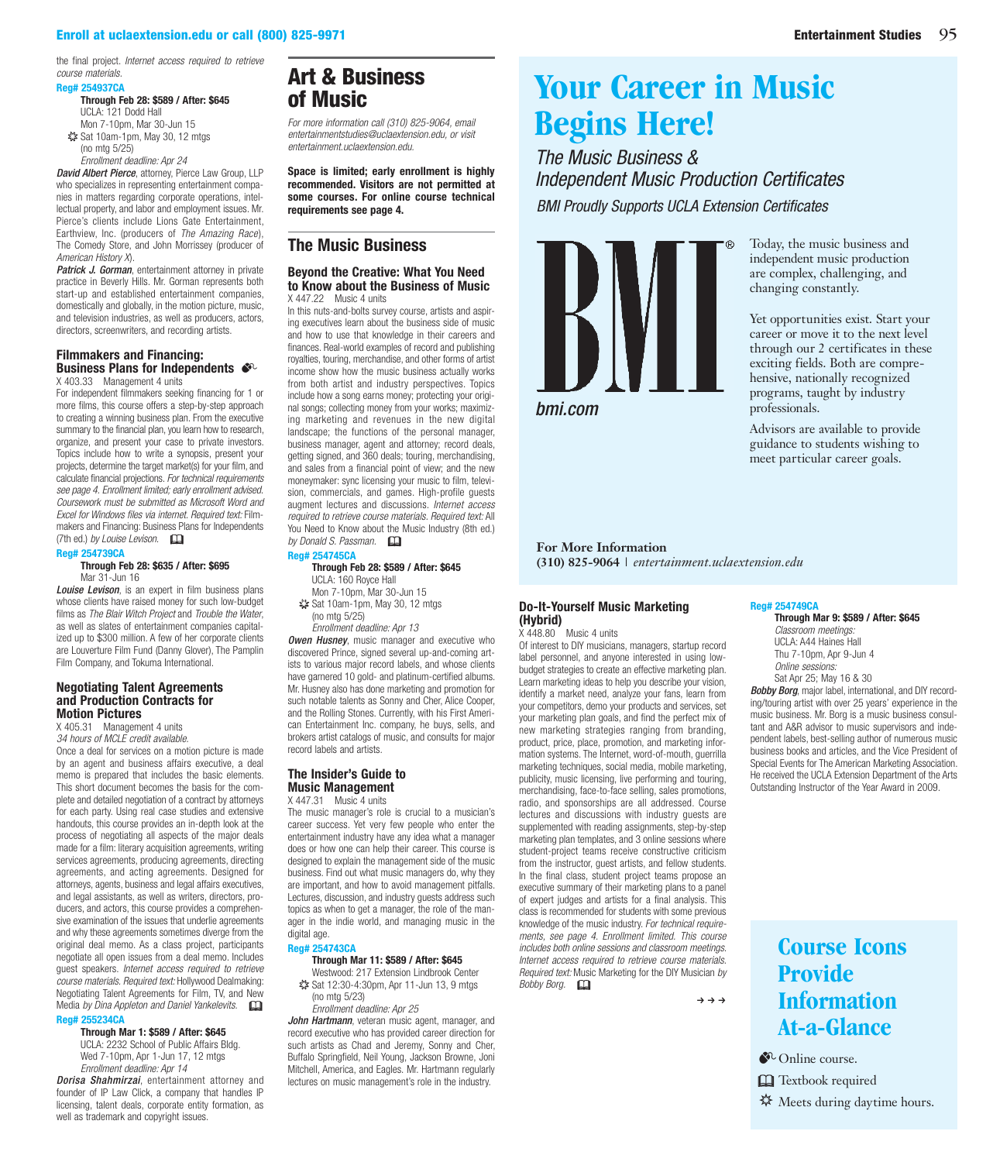<span id="page-7-0"></span>the final project. *Internet access required to retrieve course materials.*

#### **Reg# 254937CA**

**Through Feb 28: \$589 / After: \$645** UCLA: 121 Dodd Hall Mon 7-10pm, Mar 30-Jun 15 ✷ Sat 10am-1pm, May 30, 12 mtgs (no mtg 5/25)

*Enrollment deadline: Apr 24*

*David Albert Pierce*, attorney, Pierce Law Group, LLP who specializes in representing entertainment companies in matters regarding corporate operations, intellectual property, and labor and employment issues. Mr. Pierce's clients include Lions Gate Entertainment, Earthview, Inc. (producers of *The Amazing Race*), The Comedy Store, and John Morrissey (producer of *American History X*).

**Patrick J. Gorman**, entertainment attorney in private practice in Beverly Hills. Mr. Gorman represents both start-up and established entertainment companies, [domestically and globally, in the motion picture, music,](https://www.uclaextension.edu/pages/Course.aspx?reg=254937)  and television industries, as well as producers, actors, directors, screenwriters, and recording artists.

#### **Filmmakers and Financing:**

#### **[Business Plans for Independents](https://www.uclaextension.edu/pages/Course.aspx?reg=254739)** X 403.33 Management 4 units

For independent filmmakers seeking financing for 1 or more films, this course offers a step-by-step approach to creating a winning business plan. From the executive summary to the financial plan, you learn how to research, organize, and present your case to private investors. Topics include how to write a synopsis, present your projects, determine the target market(s) for your film, and calculate financial projections. *For technical requirements see page 4. Enrollment limited; early enrollment advised. Coursework must be submitted as Microsoft Word and Excel for Windows files via internet. Required text:* Filmmakers and Financing: Business Plans for Independents (7th ed.) *by Louise Levison.* &

#### **Reg# 254739CA**

#### **Through Feb 28: \$635 / After: \$695** Mar 31-Jun 16

*Louise Levison*, is an expert in film business plans whose clients have raised money for such low-budget films as *The Blair Witch Project* and *Trouble the Water*, as well as slates of entertainment companies capitalized up to \$300 million. A few of her corporate clients are Louverture Film Fund (Danny Glover), The Pamplin Film Company, and Tokuma International.

#### **[Negotiating Talent Agreements](https://www.uclaextension.edu/pages/Course.aspx?reg=255234)  and Production Contracts for Motion Pictures**

X 405.31 Management 4 units

*34 hours of MCLE credit available.* Once a deal for services on a motion picture is made by an agent and business affairs executive, a deal memo is prepared that includes the basic elements. This short document becomes the basis for the complete and detailed negotiation of a contract by attorneys for each party. Using real case studies and extensive handouts, this course provides an in-depth look at the process of negotiating all aspects of the major deals made for a film: literary acquisition agreements, writing services agreements, producing agreements, directing agreements, and acting agreements. Designed for attorneys, agents, business and legal affairs executives, and legal assistants, as well as writers, directors, producers, and actors, this course provides a comprehensive examination of the issues that underlie agreements and why these agreements sometimes diverge from the original deal memo. As a class project, participants negotiate all open issues from a deal memo. Includes guest speakers. *Internet access required to retrieve course materials. Required text:* Hollywood Dealmaking: Negotiating Talent Agreements for Film, TV, and New Media *by Dina Appleton and Daniel Yankelevits.* & **Reg# 255234CA**

#### **Through Mar 1: \$589 / After: \$645**

UCLA: 2232 School of Public Affairs Bldg. Wed 7-10pm, Apr 1-Jun 17, 12 mtgs *Enrollment deadline: Apr 14*

*Dorisa Shahmirzai*, entertainment attorney and founder of IP Law Click, a company that handles IP licensing, talent deals, corporate entity formation, as well as trademark and copyright issues.

## Art & Business of Music

*[For more information call \(310\) 825-9064, email](mailto:entertainmentstudies@uclaextension.edu)  entertainmentstudies@uclaextension.edu, or visit [entertainment.uclaextension.edu.](entertainment.uclaextension.edu)*

**Space is limited; early enrollment is highly recommended. Visitors are not permitted at some courses. For online course technical requirements see page 4.**

#### **The Music Business**

#### **Beyond the Creative: What You Need [to Know about the Business of Music](https://www.uclaextension.edu/pages/Course.aspx?reg=254745)** X 447.22 Music 4 units

In this nuts-and-bolts survey course, artists and aspiring executives learn about the business side of music and how to use that knowledge in their careers and finances. Real-world examples of record and publishing royalties, touring, merchandise, and other forms of artist income show how the music business actually works from both artist and industry perspectives. Topics include how a song earns money; protecting your original songs; collecting money from your works; maximizing marketing and revenues in the new digital landscape; the functions of the personal manager, business manager, agent and attorney; record deals, getting signed, and 360 deals; touring, merchandising, and sales from a financial point of view; and the new moneymaker: sync licensing your music to film, television, commercials, and games. High-profile guests augment lectures and discussions. *Internet access required to retrieve course materials. Required text:* All You Need to Know about the Music Industry (8th ed.) *by Donald S. Passman.* **Reg# 254745CA**

#### **Through Feb 28: \$589 / After: \$645** UCLA: 160 Royce Hall

- Mon 7-10pm, Mar 30-Jun 15 ✷ Sat 10am-1pm, May 30, 12 mtgs
- (no mtg 5/25) *Enrollment deadline: Apr 13*

*Owen Husney*, music manager and executive who discovered Prince, signed several up-and-coming art-

ists to various major record labels, and whose clients have garnered 10 gold- and platinum-certified albums. Mr. Husney also has done marketing and promotion for such notable talents as Sonny and Cher, Alice Cooper, and the Rolling Stones. Currently, with his First American Entertainment Inc. company, he buys, sells, and brokers artist catalogs of music, and consults for major record labels and artists.

#### **The Insider's Guide to Music Management** X 447.31 Music 4 units

The music manager's role is crucial to a musician's career success. Yet very few people who enter the entertainment industry have any idea what a manager does or how one can help their career. This course is designed to explain the management side of the music business. Find out what music managers do, why they are important, and how to avoid management pitfalls. Lectures, discussion, and industry guests address such topics as when to get a manager, the role of the manager in the indie world, and managing music in the digital age.

#### **Reg# 254743CA**

#### **Through Mar 11: \$589 / After: \$645**

Westwood: 217 Extension Lindbrook Center ✷ Sat 12:30-4:30pm, Apr 11-Jun 13, 9 mtgs

(no mtg 5/23) *Enrollment deadline: Apr 25*

*John Hartmann*, veteran music agent, manager, and record executive who has provided career direction for [such artists as Chad and Jeremy, Sonny and Cher,](https://www.uclaextension.edu/pages/Course.aspx?reg=254743)  Buffalo Springfield, Neil Young, Jackson Browne, Joni Mitchell, America, and Eagles. Mr. Hartmann regularly lectures on music management's role in the industry.

## **[Your Career in Music](www.bmi.com)  Begins Here!**

*The Music Business & Independent Music Production Certificates BMI Proudly Supports UCLA Extension Certificates*



*bmi.com*

Today, the music business and independent music production are complex, challenging, and changing constantly.

Yet opportunities exist. Start your career or move it to the next level through our 2 certificates in these exciting fields. Both are comprehensive, nationally recognized programs, taught by industry professionals.

Advisors are available to provide guidance to students wishing to meet particular career goals.

#### **For More Information**

**(310) 825-9064** | *<entertainment.uclaextension.edu>*

#### **Do-It-Yourself Music Marketing (Hybrid)**

X 448.80 Music 4 units

Of interest to DIY musicians, managers, startup record label personnel, and anyone interested in using lowbudget strategies to create an effective marketing plan. Learn marketing ideas to help you describe your vision, identify a market need, analyze your fans, learn from your competitors, demo your products and services, set your marketing plan goals, and find the perfect mix of new marketing strategies ranging from branding, product, price, place, promotion, and marketing information systems. The Internet, word-of-mouth, guerrilla marketing techniques, social media, mobile marketing, publicity, music licensing, live performing and touring, merchandising, face-to-face selling, sales promotions, radio, and sponsorships are all addressed. Course lectures and discussions with industry guests are supplemented with reading assignments, step-by-step marketing plan templates, and 3 online sessions where student-project teams receive constructive criticism from the instructor, guest artists, and fellow students. In the final class, student project teams propose an executive summary of their marketing plans to a panel of expert judges and artists for a final analysis. This class is recommended for students with some previous knowledge of the music industry. *For technical requirements, see page 4*. *Enrollment limited. This course includes both online sessions and classroom meetings. Internet access required to retrieve course materials. Required text:* Music Marketing for the DIY Musician *by Bobby Borg.* &

 $\rightarrow \rightarrow \rightarrow$ 

#### **Reg# 254749CA Through Mar 9: \$589 / After: \$645**

*Classroom meetings:* UCLA: A44 Haines Hall Thu 7-10pm, Apr 9-Jun 4 *Online sessions:* Sat Apr 25; May 16 & 30

*Bobby Borg*, major label, international, and DIY recording/touring artist with over 25 years' experience in the music business. Mr. Borg is a music business consultant and A&R advisor to music supervisors and independent labels, best-selling author of numerous music business books and articles, and the Vice President of Special Events for The American Marketing Association. He received the UCLA Extension Department of the Arts Outstanding Instructor of the Year Award in 2009.

## **[Course Icons](https://www.uclaextension.edu/pages/Course.aspx?reg=254749)  Provide Information At-a-Glance**

 $\mathbb{C}$  Online course.

**Q** Textbook required

**※** Meets during daytime hours.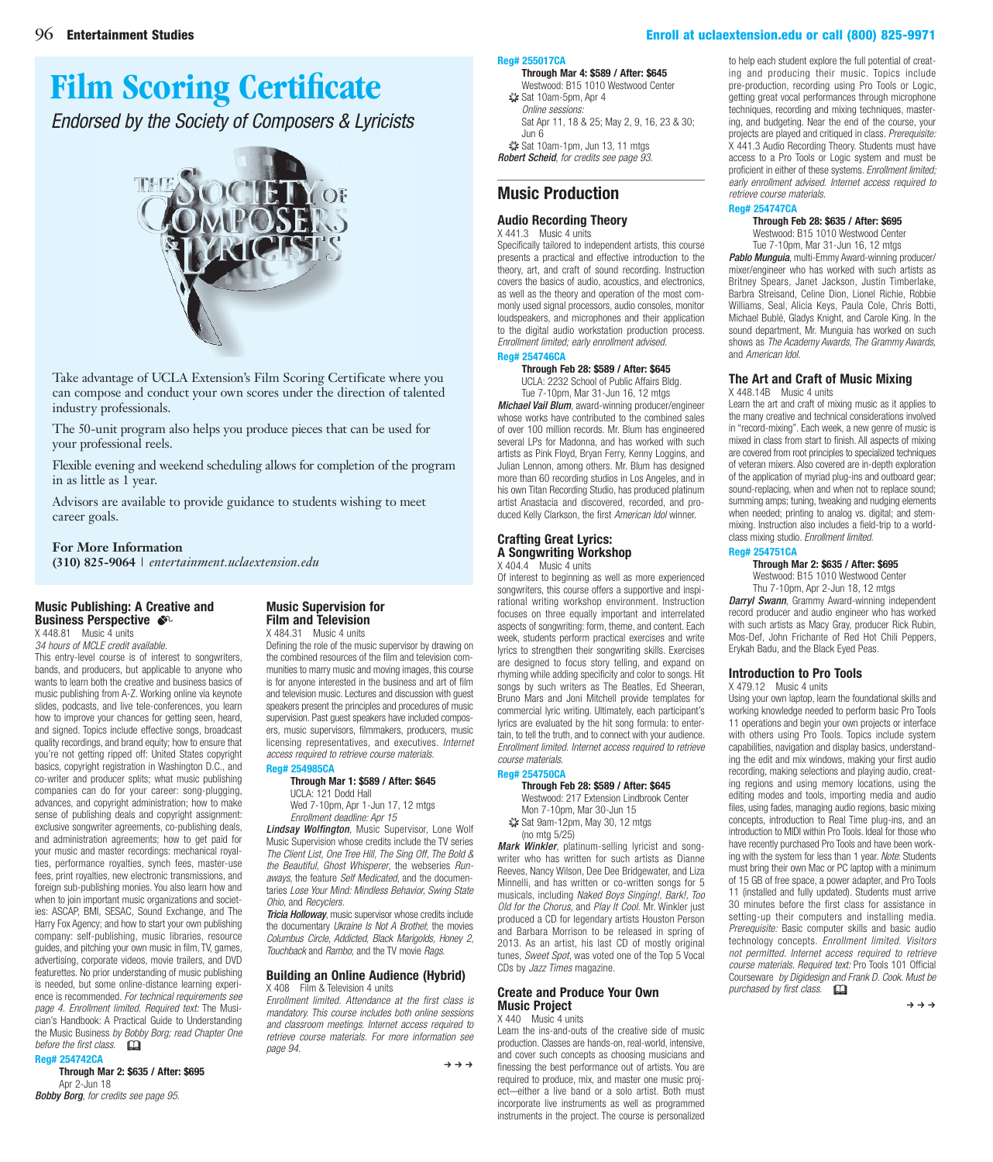# <span id="page-8-0"></span>**[Film Scoring Certificate](http://thescl.com/home)**

*Endorsed by the Society of Composers & Lyricists*



Take advantage of UCLA Extension's Film Scoring Certificate where you can compose and conduct your own scores under the direction of talented industry professionals.

The 50-unit program also helps you produce pieces that can be used for your professional reels.

Flexible evening and weekend scheduling allows for completion of the program in as little as 1 year.

Advisors are available to provide guidance to students wishing to meet career goals.

#### **For More Information**

**(310) 825-9064** | *<entertainment.uclaextension.edu>*

#### **[Music Publishing: A Creative and](https://www.uclaextension.edu/pages/Course.aspx?reg=254742)  Business Perspective**  $\bullet$

X 448.81 Music 4 units

*34 hours of MCLE credit available.* This entry-level course is of interest to songwriters, bands, and producers, but applicable to anyone who wants to learn both the creative and business basics of music publishing from A-Z. Working online via keynote slides, podcasts, and live tele-conferences, you learn how to improve your chances for getting seen, heard, and signed. Topics include effective songs, broadcast quality recordings, and brand equity; how to ensure that you're not getting ripped off: United States copyright basics, copyright registration in Washington D.C., and co-writer and producer splits; what music publishing companies can do for your career: song-plugging, advances, and copyright administration; how to make sense of publishing deals and copyright assignment: exclusive songwriter agreements, co-publishing deals, and administration agreements; how to get paid for your music and master recordings: mechanical royalties, performance royalties, synch fees, master-use fees, print royalties, new electronic transmissions, and foreign sub-publishing monies. You also learn how and when to join important music organizations and societies: ASCAP, BMI, SESAC, Sound Exchange, and The Harry Fox Agency; and how to start your own publishing company: self-publishing, music libraries, resource guides, and pitching your own music in film, TV, games, advertising, corporate videos, movie trailers, and DVD featurettes. No prior understanding of music publishing is needed, but some online-distance learning experience is recommended. *For technical requirements see page 4. Enrollment limited. Required text:* The Musician's Handbook: A Practical Guide to Understanding the Music Business *by Bobby Borg; read Chapter One before the first class.* 

#### **Reg# 254742CA**

**Through Mar 2: \$635 / After: \$695** Apr 2-Jun 18 *Bobby Borg*, *for credits see page 95.*

#### **Music Supervision for Film and Television** X 484.31 Music 4 units

Defining the role of the music supervisor by drawing on the combined resources of the film and television communities to marry music and moving images, this course is for anyone interested in the business and art of film [and television music. Lectures and discussion with guest](https://www.uclaextension.edu/pages/Course.aspx?reg=254985)  speakers present the principles and procedures of music supervision. Past guest speakers have included composers, music supervisors, filmmakers, producers, music licensing representatives, and executives. *Internet access required to retrieve course materials.*

#### **Reg# 254985CA Through Mar 1: \$589 / After: \$645**

UCLA: 121 Dodd Hall Wed 7-10pm, Apr 1-Jun 17, 12 mtgs *Enrollment deadline: Apr 15*

*Lindsay Wolfington*, Music Supervisor, Lone Wolf Music Supervision whose credits include the TV series *The Client List, One Tree Hill, The Sing Off, The Bold & the Beautiful, Ghost Whisperer*, the webseries *Runaways*, the feature *Self Medicated*, and the documentaries *Lose Your Mind: Mindless Behavior, Swing State Ohio*, and *Recyclers*.

*Tricia Holloway*, music supervisor whose credits include the documentary *Ukraine Is Not A Brothel*; the movies *Columbus Circle, Addicted, Black Marigolds, Honey 2, Touchback* and *Rambo*; and the TV movie *Rags*.

#### **[Building an Online Audience \(Hybrid\)](https://www.uclaextension.edu/pages/Course.aspx?reg=255017)** X 408 Film & Television 4 units

*Enrollment limited. Attendance at the first class is mandatory. This course includes both online sessions and classroom meetings. Internet access required to retrieve course materials. For more information see page 94.*

 $\rightarrow$   $\rightarrow$   $\rightarrow$ 

#### **Reg# 255017CA**

**Through Mar 4: \$589 / After: \$645** Westwood: B15 1010 Westwood Center

✷ Sat 10am-5pm, Apr 4 *Online sessions:* [Sat Apr 11, 18 & 25; May 2, 9, 16, 23 & 30;](https://www.uclaextension.edu/pages/Course.aspx?reg=255017)  Jun 6

✷ Sat 10am-1pm, Jun 13, 11 mtgs *Robert Scheid*, *for credits see page 93.*

## **Music Production**

#### **Audio Recording Theory** X 441.3 Music 4 units

Specifically tailored to independent artists, this course presents a practical and effective introduction to the [theory, art, and craft of sound recording. Instruction](https://www.uclaextension.edu/pages/Course.aspx?reg=254746)  covers the basics of audio, acoustics, and electronics, as well as the theory and operation of the most commonly used signal processors, audio consoles, monitor loudspeakers, and microphones and their application to the digital audio workstation production process. *Enrollment limited; early enrollment advised.*

### **Reg# 254746CA**

**Through Feb 28: \$589 / After: \$645** UCLA: 2232 School of Public Affairs Bldg.

Tue 7-10pm, Mar 31-Jun 16, 12 mtgs *Michael Vail Blum*, award-winning producer/engineer whose works have contributed to the combined sales of over 100 million records. Mr. Blum has engineered several LPs for Madonna, and has worked with such artists as Pink Floyd, Bryan Ferry, Kenny Loggins, and Julian Lennon, among others. Mr. Blum has designed more than 60 recording studios in Los Angeles, and in his own Titan Recording Studio, has produced platinum artist Anastacia and discovered, recorded, and produced Kelly Clarkson, the first *American Idol* winner.

#### **Crafting Great Lyrics: A Songwriting Workshop** X 404.4 Music 4 units

Of interest to beginning as well as more experienced songwriters, this course offers a supportive and inspirational writing workshop environment. Instruction focuses on three equally important and interrelated aspects of songwriting: form, theme, and content. Each week, students perform practical exercises and write lyrics to strengthen their songwriting skills. Exercises are designed to focus story telling, and expand on rhyming while adding specificity and color to songs. Hit songs by such writers as The Beatles, Ed Sheeran, Bruno Mars and Joni Mitchell provide templates for commercial lyric writing. Ultimately, each participant's lyrics are evaluated by the hit song formula: to entertain, to tell the truth, and to connect with your audience. *Enrollment limited. Internet access required to retrieve course materials.*

#### **Reg# 254750CA**

**Through Feb 28: \$589 / After: \$645** Westwood: 217 Extension Lindbrook Center Mon 7-10pm, Mar 30-Jun 15

✷ Sat 9am-12pm, May 30, 12 mtgs (no mtg 5/25)

*Mark Winkler*, platinum-selling lyricist and songwriter who has written for such artists as Dianne [Reeves, Nancy Wilson, Dee Dee Bridgewater, and Liza](https://www.uclaextension.edu/pages/Course.aspx?reg=254750)  Minnelli, and has written or co-written songs for 5 musicals, including *Naked Boys Singing!, Bark!, Too Old for the Chorus*, and *Play It Cool*. Mr. Winkler just produced a CD for legendary artists Houston Person and Barbara Morrison to be released in spring of 2013. As an artist, his last CD of mostly original tunes, *Sweet Spot*, was voted one of the Top 5 Vocal CDs by *Jazz Times* magazine.

#### **Create and Produce Your Own Music Project**

X 440 Music 4 units

Learn the ins-and-outs of the creative side of music production. Classes are hands-on, real-world, intensive, and cover such concepts as choosing musicians and finessing the best performance out of artists. You are required to produce, mix, and master one music proj[ect—either a live band or a solo artist. Both must](https://www.uclaextension.edu/pages/Course.aspx?reg=254747)  incorporate live instruments as well as programmed instruments in the project. The course is personalized

to help each student explore the full potential of creating and producing their music. Topics include pre-production, recording using Pro Tools or Logic, getting great vocal performances through microphone techniques, recording and mixing techniques, mastering, and budgeting. Near the end of the course, your projects are played and critiqued in class. *Prerequisite:* X 441.3 Audio Recording Theory. Students must have access to a Pro Tools or Logic system and must be proficient in either of these systems. *Enrollment limited; early enrollment advised. Internet access required to retrieve course materials.*

#### **Reg# 254747CA**

#### **Through Feb 28: \$635 / After: \$695** Westwood: B15 1010 Westwood Center

Tue 7-10pm, Mar 31-Jun 16, 12 mtgs

*Pablo Munguia*, multi-Emmy Award-winning producer/ mixer/engineer who has worked with such artists as Britney Spears, Janet Jackson, Justin Timberlake, Barbra Streisand, Celine Dion, Lionel Richie, Robbie [Williams, Seal, Alicia Keys, Paula Cole, Chris Botti,](https://www.uclaextension.edu/pages/Course.aspx?reg=254747)  Michael Bublé, Gladys Knight, and Carole King. In the sound department, Mr. Munguia has worked on such shows as *The Academy Awards, The Grammy Awards,* and *American Idol*.

#### **[The Art and Craft of Music Mixing](https://www.uclaextension.edu/pages/Course.aspx?reg=254751)** X 448.14B Music 4 units

Learn the art and craft of mixing music as it applies to the many creative and technical considerations involved in "record-mixing". Each week, a new genre of music is mixed in class from start to finish. All aspects of mixing are covered from root principles to specialized techniques of veteran mixers. Also covered are in-depth exploration of the application of myriad plug-ins and outboard gear; sound-replacing, when and when not to replace sound; summing amps; tuning, tweaking and nudging elements when needed; printing to analog vs. digital; and stemmixing. Instruction also includes a field-trip to a worldclass mixing studio. *Enrollment limited.*

#### **Reg# 254751CA**

**Through Mar 2: \$635 / After: \$695**

Westwood: B15 1010 Westwood Center Thu 7-10pm, Apr 2-Jun 18, 12 mtgs

*Darryl Swann*, Grammy Award-winning independent record producer and audio engineer who has worked with such artists as Macy Gray, producer Rick Rubin, Mos-Def, John Frichante of Red Hot Chili Peppers, Erykah Badu, and the Black Eyed Peas.

#### **Introduction to Pro Tools**

X 479.12 Music 4 units

[Using your own laptop, learn the foundational skills and](https://www.uclaextension.edu/pages/Course.aspx?reg=255028)  working knowledge needed to perform basic Pro Tools 11 operations and begin your own projects or interface with others using Pro Tools. Topics include system capabilities, navigation and display basics, understanding the edit and mix windows, making your first audio recording, making selections and playing audio, creating regions and using memory locations, using the editing modes and tools, importing media and audio files, using fades, managing audio regions, basic mixing concepts, introduction to Real Time plug-ins, and an introduction to MIDI within Pro Tools. Ideal for those who have recently purchased Pro Tools and have been working with the system for less than 1 year. *Note*: Students must bring their own Mac or PC laptop with a minimum of 15 GB of free space, a power adapter, and Pro Tools 11 (installed and fully updated). Students must arrive 30 minutes before the first class for assistance in setting-up their computers and installing media. *Prerequisite:* Basic computer skills and basic audio technology concepts. *Enrollment limited. Visitors not permitted. Internet access required to retrieve course materials. Required text:* Pro Tools 101 Official Courseware *by Digidesign and Frank D. Cook. Must be purchased by first class.* &